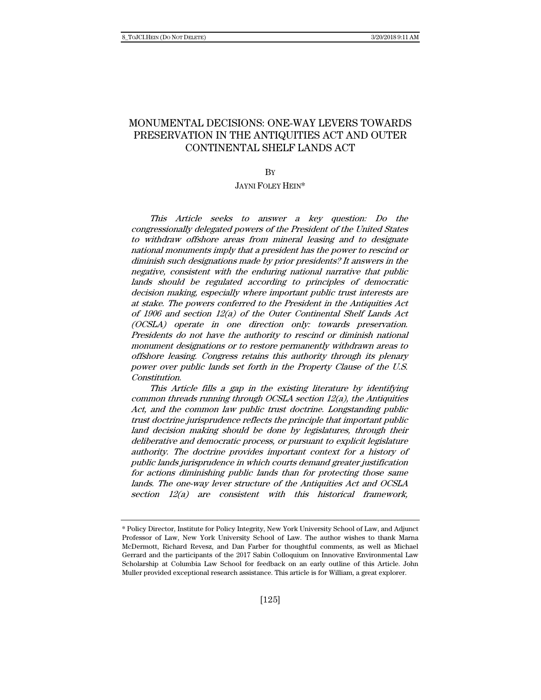# MONUMENTAL DECISIONS: ONE-WAY LEVERS TOWARDS PRESERVATION IN THE ANTIQUITIES ACT AND OUTER CONTINENTAL SHELF LANDS ACT

**BY** 

### JAYNI FOLEY HEIN\*

This Article seeks to answer a key question: Do the congressionally delegated powers of the President of the United States to withdraw offshore areas from mineral leasing and to designate national monuments imply that a president has the power to rescind or diminish such designations made by prior presidents? It answers in the negative, consistent with the enduring national narrative that public lands should be regulated according to principles of democratic decision making, especially where important public trust interests are at stake. The powers conferred to the President in the Antiquities Act of 1906 and section 12(a) of the Outer Continental Shelf Lands Act (OCSLA) operate in one direction only: towards preservation. Presidents do not have the authority to rescind or diminish national monument designations or to restore permanently withdrawn areas to offshore leasing. Congress retains this authority through its plenary power over public lands set forth in the Property Clause of the U.S. Constitution.

This Article fills a gap in the existing literature by identifying common threads running through OCSLA section 12(a), the Antiquities Act, and the common law public trust doctrine. Longstanding public trust doctrine jurisprudence reflects the principle that important public land decision making should be done by legislatures, through their deliberative and democratic process, or pursuant to explicit legislature authority. The doctrine provides important context for a history of public lands jurisprudence in which courts demand greater justification for actions diminishing public lands than for protecting those same lands. The one-way lever structure of the Antiquities Act and OCSLA section 12(a) are consistent with this historical framework,

<sup>\*</sup> Policy Director, Institute for Policy Integrity, New York University School of Law, and Adjunct Professor of Law, New York University School of Law. The author wishes to thank Marna McDermott, Richard Revesz, and Dan Farber for thoughtful comments, as well as Michael Gerrard and the participants of the 2017 Sabin Colloquium on Innovative Environmental Law Scholarship at Columbia Law School for feedback on an early outline of this Article. John Muller provided exceptional research assistance. This article is for William, a great explorer.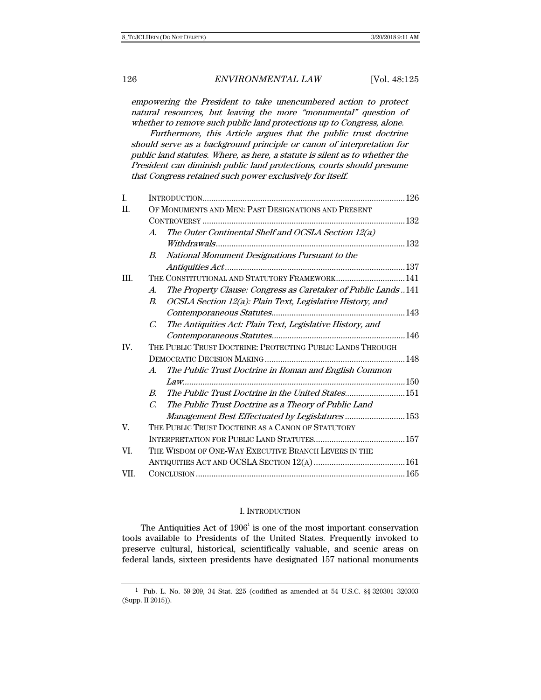empowering the President to take unencumbered action to protect natural resources, but leaving the more "monumental" question of whether to remove such public land protections up to Congress, alone.

Furthermore, this Article argues that the public trust doctrine should serve as a background principle or canon of interpretation for public land statutes. Where, as here, a statute is silent as to whether the President can diminish public land protections, courts should presume that Congress retained such power exclusively for itself.

| I.          |                                                                                     |  |
|-------------|-------------------------------------------------------------------------------------|--|
| II.         | OF MONUMENTS AND MEN: PAST DESIGNATIONS AND PRESENT                                 |  |
|             |                                                                                     |  |
|             | The Outer Continental Shelf and OCSLA Section 12(a)<br>$\mathcal{A}_{\cdot}$        |  |
|             |                                                                                     |  |
|             | National Monument Designations Pursuant to the<br>В.                                |  |
|             |                                                                                     |  |
| III.        | THE CONSTITUTIONAL AND STATUTORY FRAMEWORK 141                                      |  |
|             | The Property Clause: Congress as Caretaker of Public Lands141<br>$\boldsymbol{A}$ . |  |
|             | OCSLA Section 12(a): Plain Text, Legislative History, and<br>В.                     |  |
|             |                                                                                     |  |
|             | The Antiquities Act: Plain Text, Legislative History, and<br>$\mathcal{C}$          |  |
|             |                                                                                     |  |
| IV.         | THE PUBLIC TRUST DOCTRINE: PROTECTING PUBLIC LANDS THROUGH                          |  |
|             |                                                                                     |  |
|             | The Public Trust Doctrine in Roman and English Common<br>$A_{\cdot}$                |  |
|             |                                                                                     |  |
|             | The Public Trust Doctrine in the United States151<br>$B_{\cdot}$                    |  |
|             | The Public Trust Doctrine as a Theory of Public Land<br>$\mathcal{C}$               |  |
|             | Management Best Effectuated by Legislatures 153                                     |  |
| $V_{\cdot}$ | THE PUBLIC TRUST DOCTRINE AS A CANON OF STATUTORY                                   |  |
|             |                                                                                     |  |
| VI.         | THE WISDOM OF ONE-WAY EXECUTIVE BRANCH LEVERS IN THE                                |  |
|             |                                                                                     |  |
| VII.        |                                                                                     |  |

#### I. INTRODUCTION

The Antiquities Act of  $1906<sup>1</sup>$  is one of the most important conservation tools available to Presidents of the United States. Frequently invoked to preserve cultural, historical, scientifically valuable, and scenic areas on federal lands, sixteen presidents have designated 157 national monuments

<sup>1</sup> Pub. L. No. 59-209, 34 Stat. 225 (codified as amended at 54 U.S.C. §§ 320301–320303 (Supp. II 2015)).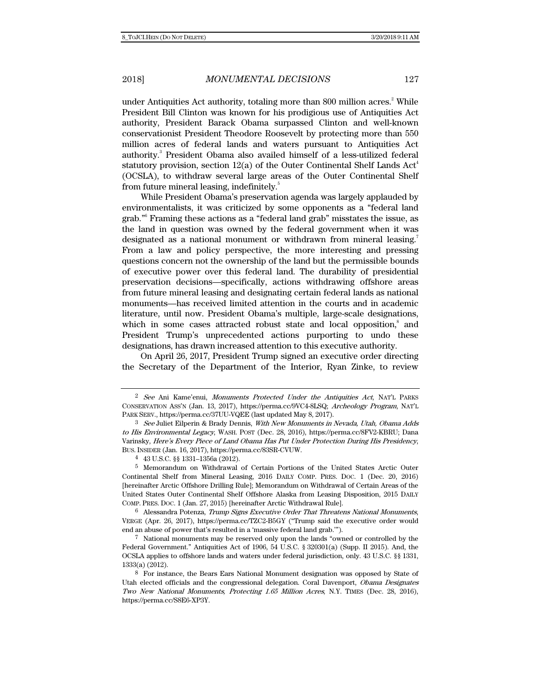under Antiquities Act authority, totaling more than 800 million acres.<sup>2</sup> While President Bill Clinton was known for his prodigious use of Antiquities Act authority, President Barack Obama surpassed Clinton and well-known conservationist President Theodore Roosevelt by protecting more than 550 million acres of federal lands and waters pursuant to Antiquities Act authority.<sup>3</sup> President Obama also availed himself of a less-utilized federal statutory provision, section  $12(a)$  of the Outer Continental Shelf Lands Act<sup>4</sup> (OCSLA), to withdraw several large areas of the Outer Continental Shelf from future mineral leasing, indefinitely.<sup>5</sup>

While President Obama's preservation agenda was largely applauded by environmentalists, it was criticized by some opponents as a "federal land grab."6 Framing these actions as a "federal land grab" misstates the issue, as the land in question was owned by the federal government when it was designated as a national monument or withdrawn from mineral leasing.<sup>7</sup> From a law and policy perspective, the more interesting and pressing questions concern not the ownership of the land but the permissible bounds of executive power over this federal land. The durability of presidential preservation decisions—specifically, actions withdrawing offshore areas from future mineral leasing and designating certain federal lands as national monuments—has received limited attention in the courts and in academic literature, until now. President Obama's multiple, large-scale designations, which in some cases attracted robust state and local opposition,<sup>8</sup> and President Trump's unprecedented actions purporting to undo these designations, has drawn increased attention to this executive authority.

On April 26, 2017, President Trump signed an executive order directing the Secretary of the Department of the Interior, Ryan Zinke, to review

<sup>&</sup>lt;sup>2</sup> See Ani Kame'enui, Monuments Protected Under the Antiquities Act, NAT'L PARKS CONSERVATION ASS'N (Jan. 13, 2017), https://perma.cc/9VC4-8LSQ; Archeology Program, NAT'L PARK SERV., https://perma.cc/37UU-VQEE (last updated May 8, 2017).

<sup>3</sup> See Juliet Eilperin & Brady Dennis, With New Monuments in Nevada, Utah, Obama Adds to His Environmental Legacy, WASH. POST (Dec. 28, 2016), https://perma.cc/8FV2-KBRU; Dana Varinsky, Here's Every Piece of Land Obama Has Put Under Protection During His Presidency, BUS. INSIDER (Jan. 16, 2017), https://perma.cc/83SR-CVUW.

<sup>4 43</sup> U.S.C. §§ 1331–1356a (2012).

<sup>5</sup> Memorandum on Withdrawal of Certain Portions of the United States Arctic Outer Continental Shelf from Mineral Leasing, 2016 DAILY COMP. PRES. DOC. 1 (Dec. 20, 2016) [hereinafter Arctic Offshore Drilling Rule]; Memorandum on Withdrawal of Certain Areas of the United States Outer Continental Shelf Offshore Alaska from Leasing Disposition, 2015 DAILY COMP. PRES. DOC. 1 (Jan. 27, 2015) [hereinafter Arctic Withdrawal Rule].

<sup>6</sup> Alessandra Potenza, Trump Signs Executive Order That Threatens National Monuments, VERGE (Apr. 26, 2017), https://perma.cc/TZC2-B5GY ("Trump said the executive order would end an abuse of power that's resulted in a 'massive federal land grab.'").

<sup>7</sup> National monuments may be reserved only upon the lands "owned or controlled by the Federal Government." Antiquities Act of 1906, 54 U.S.C. § 320301(a) (Supp. II 2015). And, the OCSLA applies to offshore lands and waters under federal jurisdiction, only. 43 U.S.C. §§ 1331, 1333(a) (2012).

<sup>8</sup> For instance, the Bears Ears National Monument designation was opposed by State of Utah elected officials and the congressional delegation. Coral Davenport, Obama Designates Two New National Monuments, Protecting 1.65 Million Acres, N.Y. TIMES (Dec. 28, 2016), https://perma.cc/S8E6-XP3Y.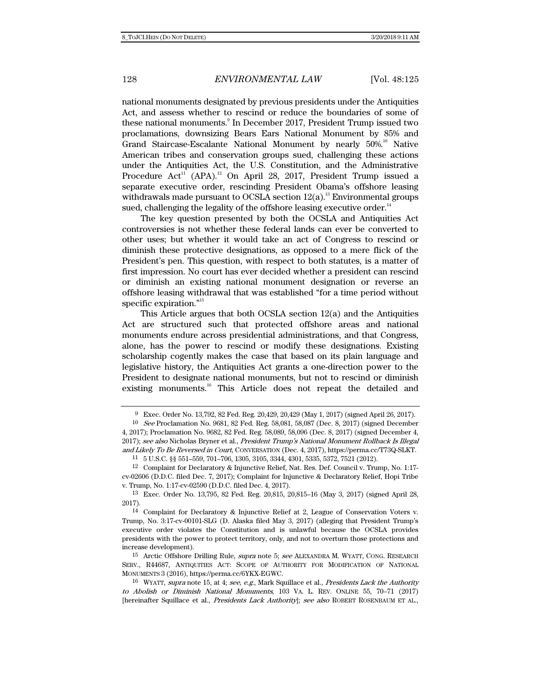national monuments designated by previous presidents under the Antiquities Act, and assess whether to rescind or reduce the boundaries of some of these national monuments.<sup>9</sup> In December 2017, President Trump issued two proclamations, downsizing Bears Ears National Monument by 85% and Grand Staircase-Escalante National Monument by nearly 50%.<sup>10</sup> Native American tribes and conservation groups sued, challenging these actions under the Antiquities Act, the U.S. Constitution, and the Administrative Procedure Act<sup>11</sup> (APA).<sup>12</sup> On April 28, 2017, President Trump issued a separate executive order, rescinding President Obama's offshore leasing withdrawals made pursuant to OCSLA section  $12(a)$ .<sup>13</sup> Environmental groups sued, challenging the legality of the offshore leasing executive order.<sup>14</sup>

The key question presented by both the OCSLA and Antiquities Act controversies is not whether these federal lands can ever be converted to other uses; but whether it would take an act of Congress to rescind or diminish these protective designations, as opposed to a mere flick of the President's pen. This question, with respect to both statutes, is a matter of first impression. No court has ever decided whether a president can rescind or diminish an existing national monument designation or reverse an offshore leasing withdrawal that was established "for a time period without specific expiration."<sup>15</sup>

This Article argues that both OCSLA section 12(a) and the Antiquities Act are structured such that protected offshore areas and national monuments endure across presidential administrations, and that Congress, alone, has the power to rescind or modify these designations. Existing scholarship cogently makes the case that based on its plain language and legislative history, the Antiquities Act grants a one-direction power to the President to designate national monuments, but not to rescind or diminish existing monuments.<sup>16</sup> This Article does not repeat the detailed and

<sup>9</sup> Exec. Order No. 13,792, 82 Fed. Reg. 20,429, 20,429 (May 1, 2017) (signed April 26, 2017).

<sup>10</sup> See Proclamation No. 9681, 82 Fed. Reg. 58,081, 58,087 (Dec. 8, 2017) (signed December 4, 2017); Proclamation No. 9682, 82 Fed. Reg. 58,089, 58,096 (Dec. 8, 2017) (signed December 4, 2017); see also Nicholas Bryner et al., President Trump's National Monument Rollback Is Illegal and Likely To Be Reversed in Court, CONVERSATION (Dec. 4, 2017), https://perma.cc/T73Q-SLKT.

<sup>11 5</sup> U.S.C. §§ 551–559, 701–706, 1305, 3105, 3344, 4301, 5335, 5372, 7521 (2012).

<sup>12</sup> Complaint for Declaratory & Injunctive Relief, Nat. Res. Def. Council v. Trump, No. 1:17 cv-02606 (D.D.C. filed Dec. 7, 2017); Complaint for Injunctive & Declaratory Relief, Hopi Tribe v. Trump, No. 1:17-cv-02590 (D.D.C. filed Dec. 4, 2017).

<sup>13</sup> Exec. Order No. 13,795, 82 Fed. Reg. 20,815, 20,815–16 (May 3, 2017) (signed April 28, 2017).

<sup>14</sup> Complaint for Declaratory & Injunctive Relief at 2, League of Conservation Voters v. Trump, No. 3:17-cv-00101-SLG (D. Alaska filed May 3, 2017) (alleging that President Trump's executive order violates the Constitution and is unlawful because the OCSLA provides presidents with the power to protect territory, only, and not to overturn those protections and increase development).

<sup>&</sup>lt;sup>15</sup> Arctic Offshore Drilling Rule, *supra* note 5; see ALEXANDRA M. WYATT, CONG. RESEARCH SERV., R44687, ANTIQUITIES ACT: SCOPE OF AUTHORITY FOR MODIFICATION OF NATIONAL MONUMENTS 3 (2016), https://perma.cc/6YKX-EGWC.

 $16$  WYATT, supra note 15, at 4; see, e.g., Mark Squillace et al., Presidents Lack the Authority to Abolish or Diminish National Monuments, 103 VA. L. REV. ONLINE 55, 70–71 (2017) [hereinafter Squillace et al., Presidents Lack Authority]; see also ROBERT ROSENBAUM ET AL.,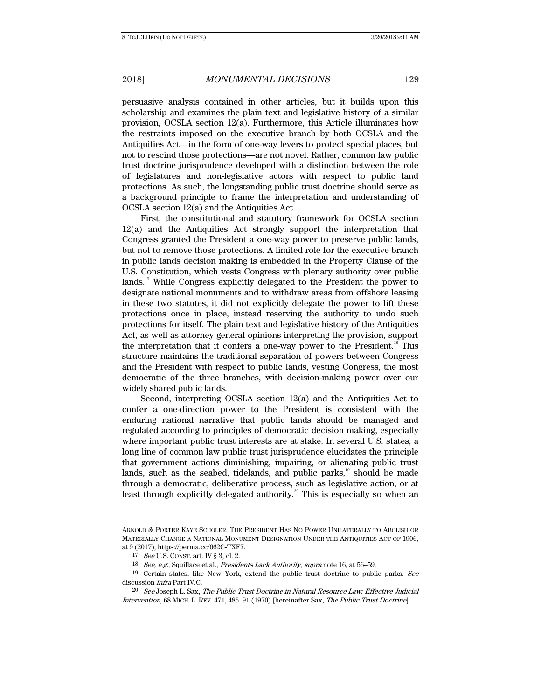persuasive analysis contained in other articles, but it builds upon this scholarship and examines the plain text and legislative history of a similar provision, OCSLA section 12(a). Furthermore, this Article illuminates how the restraints imposed on the executive branch by both OCSLA and the Antiquities Act—in the form of one-way levers to protect special places, but not to rescind those protections—are not novel. Rather, common law public trust doctrine jurisprudence developed with a distinction between the role of legislatures and non-legislative actors with respect to public land protections. As such, the longstanding public trust doctrine should serve as a background principle to frame the interpretation and understanding of OCSLA section 12(a) and the Antiquities Act.

First, the constitutional and statutory framework for OCSLA section 12(a) and the Antiquities Act strongly support the interpretation that Congress granted the President a one-way power to preserve public lands, but not to remove those protections. A limited role for the executive branch in public lands decision making is embedded in the Property Clause of the U.S. Constitution, which vests Congress with plenary authority over public lands.<sup>17</sup> While Congress explicitly delegated to the President the power to designate national monuments and to withdraw areas from offshore leasing in these two statutes, it did not explicitly delegate the power to lift these protections once in place, instead reserving the authority to undo such protections for itself. The plain text and legislative history of the Antiquities Act, as well as attorney general opinions interpreting the provision, support the interpretation that it confers a one-way power to the President.<sup>18</sup> This structure maintains the traditional separation of powers between Congress and the President with respect to public lands, vesting Congress, the most democratic of the three branches, with decision-making power over our widely shared public lands.

Second, interpreting OCSLA section 12(a) and the Antiquities Act to confer a one-direction power to the President is consistent with the enduring national narrative that public lands should be managed and regulated according to principles of democratic decision making, especially where important public trust interests are at stake. In several U.S. states, a long line of common law public trust jurisprudence elucidates the principle that government actions diminishing, impairing, or alienating public trust lands, such as the seabed, tidelands, and public parks, $19$  should be made through a democratic, deliberative process, such as legislative action, or at least through explicitly delegated authority.<sup>20</sup> This is especially so when an

ARNOLD & PORTER KAYE SCHOLER, THE PRESIDENT HAS NO POWER UNILATERALLY TO ABOLISH OR MATERIALLY CHANGE A NATIONAL MONUMENT DESIGNATION UNDER THE ANTIQUITIES ACT OF 1906, at 9 (2017), https://perma.cc/662C-TXF7.

<sup>17</sup> See U.S. CONST. art. IV § 3, cl. 2.

<sup>18</sup> See, e.g., Squillace et al., Presidents Lack Authority, supra note 16, at 56–59.

 $19$  Certain states, like New York, extend the public trust doctrine to public parks. See discussion infra Part IV.C.

<sup>20</sup> See Joseph L. Sax, The Public Trust Doctrine in Natural Resource Law: Effective Judicial Intervention, 68 MICH. L. REV. 471, 485–91 (1970) [hereinafter Sax, The Public Trust Doctrine].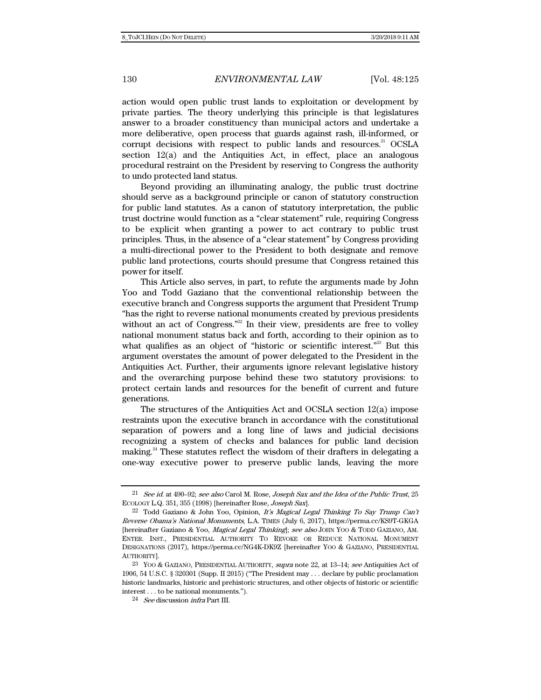action would open public trust lands to exploitation or development by private parties. The theory underlying this principle is that legislatures answer to a broader constituency than municipal actors and undertake a more deliberative, open process that guards against rash, ill-informed, or corrupt decisions with respect to public lands and resources.<sup>21</sup> OCSLA section 12(a) and the Antiquities Act, in effect, place an analogous procedural restraint on the President by reserving to Congress the authority to undo protected land status.

Beyond providing an illuminating analogy, the public trust doctrine should serve as a background principle or canon of statutory construction for public land statutes. As a canon of statutory interpretation, the public trust doctrine would function as a "clear statement" rule, requiring Congress to be explicit when granting a power to act contrary to public trust principles. Thus, in the absence of a "clear statement" by Congress providing a multi-directional power to the President to both designate and remove public land protections, courts should presume that Congress retained this power for itself.

This Article also serves, in part, to refute the arguments made by John Yoo and Todd Gaziano that the conventional relationship between the executive branch and Congress supports the argument that President Trump "has the right to reverse national monuments created by previous presidents without an act of Congress."<sup>22</sup> In their view, presidents are free to volley national monument status back and forth, according to their opinion as to what qualifies as an object of "historic or scientific interest."<sup>23</sup> But this argument overstates the amount of power delegated to the President in the Antiquities Act. Further, their arguments ignore relevant legislative history and the overarching purpose behind these two statutory provisions: to protect certain lands and resources for the benefit of current and future generations.

The structures of the Antiquities Act and OCSLA section 12(a) impose restraints upon the executive branch in accordance with the constitutional separation of powers and a long line of laws and judicial decisions recognizing a system of checks and balances for public land decision making.<sup>24</sup> These statutes reflect the wisdom of their drafters in delegating a one-way executive power to preserve public lands, leaving the more

<sup>&</sup>lt;sup>21</sup> See id. at 490–92; see also Carol M. Rose, Joseph Sax and the Idea of the Public Trust, 25 ECOLOGY L.Q. 351, 355 (1998) [hereinafter Rose, Joseph Sax].

 $22$  Todd Gaziano & John Yoo, Opinion, It's Magical Legal Thinking To Say Trump Can't Reverse Obama's National Monuments, L.A. TIMES (July 6, 2017), https://perma.cc/KS9T-GKGA [hereinafter Gaziano & Yoo, Magical Legal Thinking]; see also JOHN YOO & TODD GAZIANO, AM. ENTER. INST., PRESIDENTIAL AUTHORITY TO REVOKE OR REDUCE NATIONAL MONUMENT DESIGNATIONS (2017), https://perma.cc/NG4K-DK9Z [hereinafter YOO & GAZIANO, PRESIDENTIAL AUTHORITY].

<sup>&</sup>lt;sup>23</sup> YOO & GAZIANO, PRESIDENTIAL AUTHORITY, *supra* note 22, at 13–14; see Antiquities Act of 1906, 54 U.S.C. § 320301 (Supp. II 2015) ("The President may . . . declare by public proclamation historic landmarks, historic and prehistoric structures, and other objects of historic or scientific interest . . . to be national monuments.").

 $24$  See discussion *infra* Part III.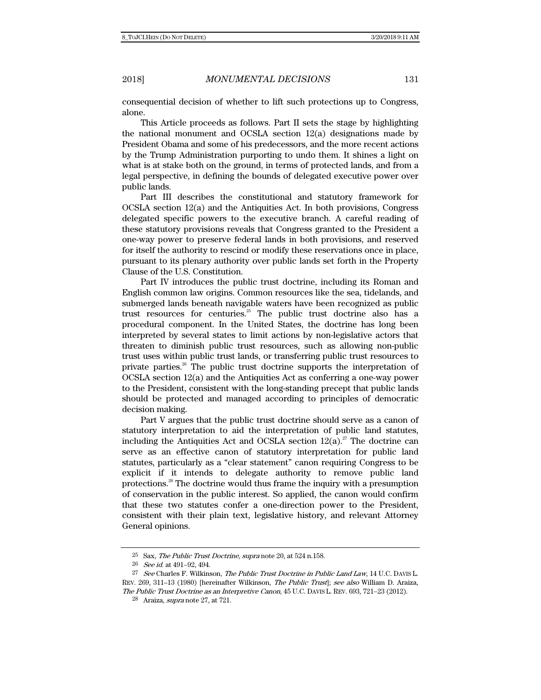consequential decision of whether to lift such protections up to Congress, alone.

This Article proceeds as follows. Part II sets the stage by highlighting the national monument and OCSLA section 12(a) designations made by President Obama and some of his predecessors, and the more recent actions by the Trump Administration purporting to undo them. It shines a light on what is at stake both on the ground, in terms of protected lands, and from a legal perspective, in defining the bounds of delegated executive power over public lands.

Part III describes the constitutional and statutory framework for OCSLA section 12(a) and the Antiquities Act. In both provisions, Congress delegated specific powers to the executive branch. A careful reading of these statutory provisions reveals that Congress granted to the President a one-way power to preserve federal lands in both provisions, and reserved for itself the authority to rescind or modify these reservations once in place, pursuant to its plenary authority over public lands set forth in the Property Clause of the U.S. Constitution.

Part IV introduces the public trust doctrine, including its Roman and English common law origins. Common resources like the sea, tidelands, and submerged lands beneath navigable waters have been recognized as public trust resources for centuries.25 The public trust doctrine also has a procedural component. In the United States, the doctrine has long been interpreted by several states to limit actions by non-legislative actors that threaten to diminish public trust resources, such as allowing non-public trust uses within public trust lands, or transferring public trust resources to private parties.<sup>26</sup> The public trust doctrine supports the interpretation of OCSLA section 12(a) and the Antiquities Act as conferring a one-way power to the President, consistent with the long-standing precept that public lands should be protected and managed according to principles of democratic decision making.

Part V argues that the public trust doctrine should serve as a canon of statutory interpretation to aid the interpretation of public land statutes, including the Antiquities Act and OCSLA section  $12(a)$ .<sup>27</sup> The doctrine can serve as an effective canon of statutory interpretation for public land statutes, particularly as a "clear statement" canon requiring Congress to be explicit if it intends to delegate authority to remove public land protections.28 The doctrine would thus frame the inquiry with a presumption of conservation in the public interest. So applied, the canon would confirm that these two statutes confer a one-direction power to the President, consistent with their plain text, legislative history, and relevant Attorney General opinions.

<sup>25</sup> Sax, The Public Trust Doctrine, supra note 20, at 524 n.158.

<sup>&</sup>lt;sup>26</sup> See id. at 491-92, 494.

<sup>&</sup>lt;sup>27</sup> See Charles F. Wilkinson, *The Public Trust Doctrine in Public Land Law*, 14 U.C. DAVIS L. REV. 269, 311–13 (1980) [hereinafter Wilkinson, The Public Trust]; see also William D. Araiza, The Public Trust Doctrine as an Interpretive Canon, 45 U.C. DAVIS L. REV. 693, 721–23 (2012).

<sup>&</sup>lt;sup>28</sup> Araiza, *supra* note 27, at 721.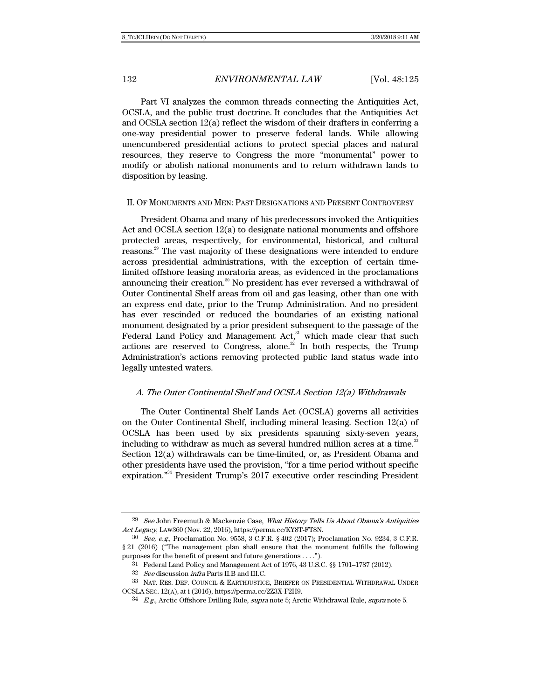Part VI analyzes the common threads connecting the Antiquities Act, OCSLA, and the public trust doctrine. It concludes that the Antiquities Act and OCSLA section 12(a) reflect the wisdom of their drafters in conferring a one-way presidential power to preserve federal lands. While allowing unencumbered presidential actions to protect special places and natural resources, they reserve to Congress the more "monumental" power to modify or abolish national monuments and to return withdrawn lands to disposition by leasing.

#### II. OF MONUMENTS AND MEN: PAST DESIGNATIONS AND PRESENT CONTROVERSY

President Obama and many of his predecessors invoked the Antiquities Act and OCSLA section 12(a) to designate national monuments and offshore protected areas, respectively, for environmental, historical, and cultural reasons.<sup>29</sup> The vast majority of these designations were intended to endure across presidential administrations, with the exception of certain timelimited offshore leasing moratoria areas, as evidenced in the proclamations announcing their creation.<sup>30</sup> No president has ever reversed a withdrawal of Outer Continental Shelf areas from oil and gas leasing, other than one with an express end date, prior to the Trump Administration. And no president has ever rescinded or reduced the boundaries of an existing national monument designated by a prior president subsequent to the passage of the Federal Land Policy and Management  $Act<sub>31</sub><sup>31</sup>$  which made clear that such actions are reserved to Congress, alone. $\frac{32}{2}$  In both respects, the Trump Administration's actions removing protected public land status wade into legally untested waters.

#### A. The Outer Continental Shelf and OCSLA Section 12(a) Withdrawals

The Outer Continental Shelf Lands Act (OCSLA) governs all activities on the Outer Continental Shelf, including mineral leasing. Section 12(a) of OCSLA has been used by six presidents spanning sixty-seven years, including to withdraw as much as several hundred million acres at a time.<sup>33</sup> Section 12(a) withdrawals can be time-limited, or, as President Obama and other presidents have used the provision, "for a time period without specific expiration."<sup>34</sup> President Trump's 2017 executive order rescinding President

<sup>&</sup>lt;sup>29</sup> See John Freemuth & Mackenzie Case, What History Tells Us About Obama's Antiquities Act Legacy, LAW360 (Nov. 22, 2016), https://perma.cc/KY8T-FT8N.

<sup>30</sup> See, e.g., Proclamation No. 9558, 3 C.F.R. § 402 (2017); Proclamation No. 9234, 3 C.F.R. § 21 (2016) ("The management plan shall ensure that the monument fulfills the following purposes for the benefit of present and future generations . . . .").

<sup>31</sup> Federal Land Policy and Management Act of 1976, 43 U.S.C. §§ 1701–1787 (2012).

 $32$  See discussion *infra* Parts II.B and III.C.

<sup>33</sup> NAT. RES. DEF. COUNCIL & EARTHJUSTICE, BRIEFER ON PRESIDENTIAL WITHDRAWAL UNDER OCSLA SEC. 12(A), at i (2016), https://perma.cc/2Z3X-F2H9.

 $34$  E.g., Arctic Offshore Drilling Rule, *supra* note 5; Arctic Withdrawal Rule, *supra* note 5.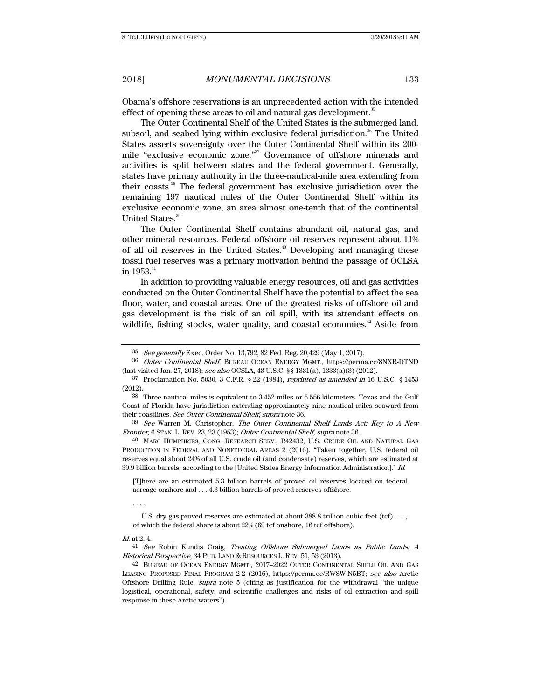Obama's offshore reservations is an unprecedented action with the intended effect of opening these areas to oil and natural gas development.<sup>3</sup>

The Outer Continental Shelf of the United States is the submerged land, subsoil, and seabed lying within exclusive federal jurisdiction.<sup>36</sup> The United States asserts sovereignty over the Outer Continental Shelf within its 200 mile "exclusive economic zone."<sup>37</sup> Governance of offshore minerals and activities is split between states and the federal government. Generally, states have primary authority in the three-nautical-mile area extending from their coasts.38 The federal government has exclusive jurisdiction over the remaining 197 nautical miles of the Outer Continental Shelf within its exclusive economic zone, an area almost one-tenth that of the continental United States.<sup>39</sup>

The Outer Continental Shelf contains abundant oil, natural gas, and other mineral resources. Federal offshore oil reserves represent about 11% of all oil reserves in the United States.<sup>40</sup> Developing and managing these fossil fuel reserves was a primary motivation behind the passage of OCLSA in  $1953.^{41}$ 

In addition to providing valuable energy resources, oil and gas activities conducted on the Outer Continental Shelf have the potential to affect the sea floor, water, and coastal areas. One of the greatest risks of offshore oil and gas development is the risk of an oil spill, with its attendant effects on wildlife, fishing stocks, water quality, and coastal economies.<sup> $42$ </sup> Aside from

39 See Warren M. Christopher, The Outer Continental Shelf Lands Act: Key to A New Frontier, 6 STAN. L. REV. 23, 23 (1953); Outer Continental Shelf, supra note 36.

40 MARC HUMPHRIES, CONG. RESEARCH SERV., R42432, U.S. CRUDE OIL AND NATURAL GAS PRODUCTION IN FEDERAL AND NONFEDERAL AREAS 2 (2016). "Taken together, U.S. federal oil reserves equal about 24% of all U.S. crude oil (and condensate) reserves, which are estimated at 39.9 billion barrels, according to the [United States Energy Information Administration]." Id.

[T]here are an estimated 5.3 billion barrels of proved oil reserves located on federal acreage onshore and . . . 4.3 billion barrels of proved reserves offshore.

. . . .

 U.S. dry gas proved reserves are estimated at about 388.8 trillion cubic feet (tcf) . . . , of which the federal share is about 22% (69 tcf onshore, 16 tcf offshore).

Id. at 2, 4.

41 See Robin Kundis Craig, Treating Offshore Submerged Lands as Public Lands: A Historical Perspective, 34 PUB. LAND & RESOURCES L. REV. 51, 53 (2013).

 $35$  See generally Exec. Order No. 13,792, 82 Fed. Reg. 20,429 (May 1, 2017).

<sup>36</sup> Outer Continental Shelf, BUREAU OCEAN ENERGY MGMT., https://perma.cc/8NXR-DTND (last visited Jan. 27, 2018); see also OCSLA, 43 U.S.C. §§ 1331(a), 1333(a)(3) (2012).

<sup>&</sup>lt;sup>37</sup> Proclamation No. 5030, 3 C.F.R. § 22 (1984), *reprinted as amended in* 16 U.S.C. § 1453 (2012).

<sup>38</sup> Three nautical miles is equivalent to 3.452 miles or 5.556 kilometers. Texas and the Gulf Coast of Florida have jurisdiction extending approximately nine nautical miles seaward from their coastlines. See Outer Continental Shelf, supra note 36.

<sup>42</sup> BUREAU OF OCEAN ENERGY MGMT., 2017–2022 OUTER CONTINENTAL SHELF OIL AND GAS LEASING PROPOSED FINAL PROGRAM 2-2 (2016), https://perma.cc/RW8W-N5BT; see also Arctic Offshore Drilling Rule, supra note 5 (citing as justification for the withdrawal "the unique logistical, operational, safety, and scientific challenges and risks of oil extraction and spill response in these Arctic waters").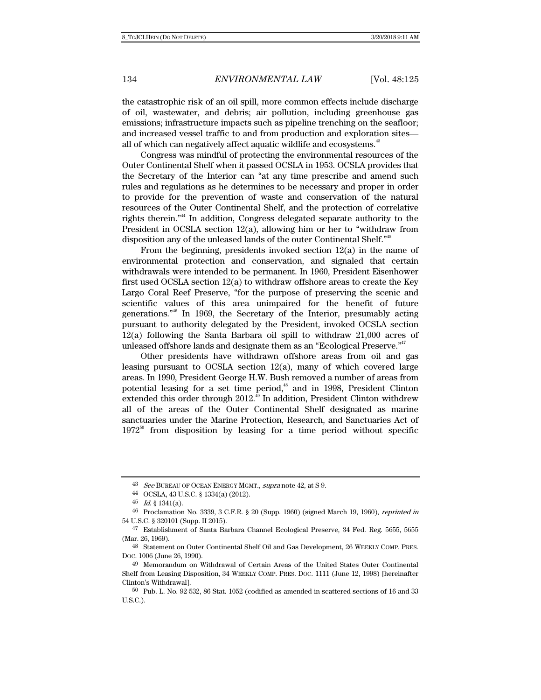the catastrophic risk of an oil spill, more common effects include discharge of oil, wastewater, and debris; air pollution, including greenhouse gas emissions; infrastructure impacts such as pipeline trenching on the seafloor; and increased vessel traffic to and from production and exploration sites all of which can negatively affect aquatic wildlife and ecosystems.<sup>43</sup>

Congress was mindful of protecting the environmental resources of the Outer Continental Shelf when it passed OCSLA in 1953. OCSLA provides that the Secretary of the Interior can "at any time prescribe and amend such rules and regulations as he determines to be necessary and proper in order to provide for the prevention of waste and conservation of the natural resources of the Outer Continental Shelf, and the protection of correlative rights therein."44 In addition, Congress delegated separate authority to the President in OCSLA section 12(a), allowing him or her to "withdraw from disposition any of the unleased lands of the outer Continental Shelf."45

From the beginning, presidents invoked section 12(a) in the name of environmental protection and conservation, and signaled that certain withdrawals were intended to be permanent. In 1960, President Eisenhower first used OCSLA section  $12(a)$  to withdraw offshore areas to create the Key Largo Coral Reef Preserve, "for the purpose of preserving the scenic and scientific values of this area unimpaired for the benefit of future generations."46 In 1969, the Secretary of the Interior, presumably acting pursuant to authority delegated by the President, invoked OCSLA section 12(a) following the Santa Barbara oil spill to withdraw 21,000 acres of unleased offshore lands and designate them as an "Ecological Preserve."<sup>47</sup>

Other presidents have withdrawn offshore areas from oil and gas leasing pursuant to OCSLA section  $12(a)$ , many of which covered large areas. In 1990, President George H.W. Bush removed a number of areas from potential leasing for a set time period,<sup>48</sup> and in 1998, President Clinton extended this order through  $2012$ .<sup>49</sup> In addition, President Clinton withdrew all of the areas of the Outer Continental Shelf designated as marine sanctuaries under the Marine Protection, Research, and Sanctuaries Act of  $1972^{50}$  from disposition by leasing for a time period without specific

 $43$  See BUREAU OF OCEAN ENERGY MGMT., supra note 42, at S-9.  $44$  OCSLA, 43 U.S.C. § 1334(a) (2012).

<sup>45</sup>  $Id.$  § 1341(a).

<sup>46</sup> Proclamation No. 3339, 3 C.F.R. § 20 (Supp. 1960) (signed March 19, 1960), reprinted in 54 U.S.C. § 320101 (Supp. II 2015).

<sup>47</sup> Establishment of Santa Barbara Channel Ecological Preserve, 34 Fed. Reg. 5655, 5655 (Mar. 26, 1969).

<sup>48</sup> Statement on Outer Continental Shelf Oil and Gas Development, 26 WEEKLY COMP. PRES. DOC. 1006 (June 26, 1990).

<sup>49</sup> Memorandum on Withdrawal of Certain Areas of the United States Outer Continental Shelf from Leasing Disposition, 34 WEEKLY COMP. PRES. DOC. 1111 (June 12, 1998) [hereinafter Clinton's Withdrawal].

<sup>50</sup> Pub. L. No. 92-532, 86 Stat. 1052 (codified as amended in scattered sections of 16 and 33 U.S.C.).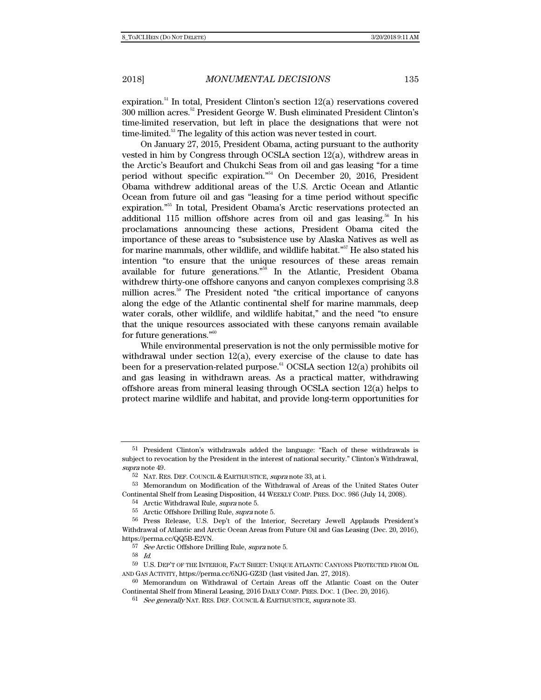expiration.<sup>51</sup> In total, President Clinton's section  $12(a)$  reservations covered 300 million acres.<sup>52</sup> President George W. Bush eliminated President Clinton's time-limited reservation, but left in place the designations that were not time-limited.<sup>53</sup> The legality of this action was never tested in court.

On January 27, 2015, President Obama, acting pursuant to the authority vested in him by Congress through OCSLA section 12(a), withdrew areas in the Arctic's Beaufort and Chukchi Seas from oil and gas leasing "for a time period without specific expiration."54 On December 20, 2016, President Obama withdrew additional areas of the U.S. Arctic Ocean and Atlantic Ocean from future oil and gas "leasing for a time period without specific expiration."55 In total, President Obama's Arctic reservations protected an additional 115 million offshore acres from oil and gas leasing.<sup>56</sup> In his proclamations announcing these actions, President Obama cited the importance of these areas to "subsistence use by Alaska Natives as well as for marine mammals, other wildlife, and wildlife habitat."57 He also stated his intention "to ensure that the unique resources of these areas remain available for future generations."58 In the Atlantic, President Obama withdrew thirty-one offshore canyons and canyon complexes comprising 3.8 million acres.<sup>59</sup> The President noted "the critical importance of canyons along the edge of the Atlantic continental shelf for marine mammals, deep water corals, other wildlife, and wildlife habitat," and the need "to ensure that the unique resources associated with these canyons remain available for future generations."60

While environmental preservation is not the only permissible motive for withdrawal under section  $12(a)$ , every exercise of the clause to date has been for a preservation-related purpose.<sup>61</sup> OCSLA section  $12(a)$  prohibits oil and gas leasing in withdrawn areas. As a practical matter, withdrawing offshore areas from mineral leasing through OCSLA section  $12(a)$  helps to protect marine wildlife and habitat, and provide long-term opportunities for

<sup>51</sup> President Clinton's withdrawals added the language: "Each of these withdrawals is subject to revocation by the President in the interest of national security." Clinton's Withdrawal, supra note 49.

 $52$  NAT. RES. DEF. COUNCIL & EARTHJUSTICE, supra note  $33,$  at i.

<sup>53</sup> Memorandum on Modification of the Withdrawal of Areas of the United States Outer Continental Shelf from Leasing Disposition, 44 WEEKLY COMP. PRES. DOC. 986 (July 14, 2008).

<sup>54</sup> Arctic Withdrawal Rule, *supra* note 5.

<sup>55</sup> Arctic Offshore Drilling Rule, supra note 5.

<sup>56</sup> Press Release, U.S. Dep't of the Interior, Secretary Jewell Applauds President's Withdrawal of Atlantic and Arctic Ocean Areas from Future Oil and Gas Leasing (Dec. 20, 2016), https://perma.cc/QQ5B-E2VN.

<sup>57</sup> See Arctic Offshore Drilling Rule, supra note 5.

<sup>58</sup> Id.

<sup>59</sup> U.S. DEP'T OF THE INTERIOR, FACT SHEET: UNIQUE ATLANTIC CANYONS PROTECTED FROM OIL AND GAS ACTIVITY, https://perma.cc/6NJG-GZ3D (last visited Jan. 27, 2018).

<sup>60</sup> Memorandum on Withdrawal of Certain Areas off the Atlantic Coast on the Outer Continental Shelf from Mineral Leasing, 2016 DAILY COMP. PRES. DOC. 1 (Dec. 20, 2016).

 $61$  See generally NAT. RES. DEF. COUNCIL & EARTHJUSTICE, supra note 33.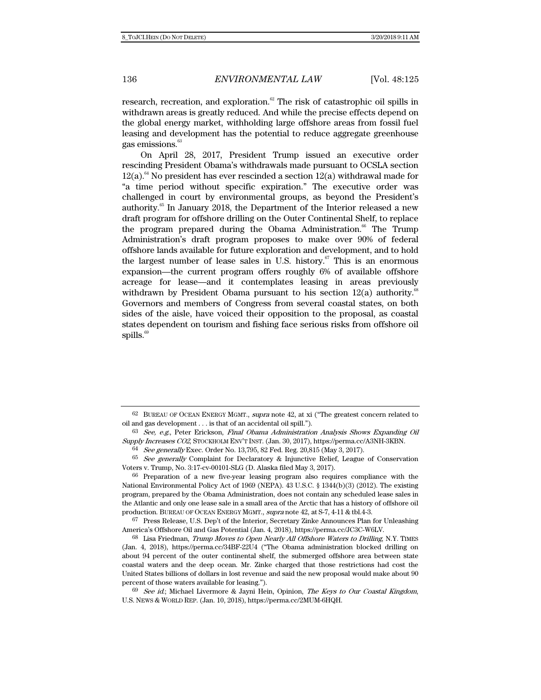research, recreation, and exploration.<sup>62</sup> The risk of catastrophic oil spills in withdrawn areas is greatly reduced. And while the precise effects depend on the global energy market, withholding large offshore areas from fossil fuel leasing and development has the potential to reduce aggregate greenhouse gas emissions.<sup>63</sup>

On April 28, 2017, President Trump issued an executive order rescinding President Obama's withdrawals made pursuant to OCSLA section  $12(a)$ .<sup>64</sup> No president has ever rescinded a section  $12(a)$  withdrawal made for "a time period without specific expiration." The executive order was challenged in court by environmental groups, as beyond the President's authority.<sup>65</sup> In January 2018, the Department of the Interior released a new draft program for offshore drilling on the Outer Continental Shelf, to replace the program prepared during the Obama Administration.<sup>66</sup> The Trump Administration's draft program proposes to make over 90% of federal offshore lands available for future exploration and development, and to hold the largest number of lease sales in U.S. history.<sup>67</sup> This is an enormous expansion—the current program offers roughly 6% of available offshore acreage for lease—and it contemplates leasing in areas previously withdrawn by President Obama pursuant to his section  $12(a)$  authority.<sup>68</sup> Governors and members of Congress from several coastal states, on both sides of the aisle, have voiced their opposition to the proposal, as coastal states dependent on tourism and fishing face serious risks from offshore oil spills.<sup>69</sup>

 $67$  Press Release, U.S. Dep't of the Interior, Secretary Zinke Announces Plan for Unleashing America's Offshore Oil and Gas Potential (Jan. 4, 2018), https://perma.cc/JC3C-W6LV.

68 Lisa Friedman, Trump Moves to Open Nearly All Offshore Waters to Drilling, N.Y. TIMES (Jan. 4, 2018), https://perma.cc/34BF-22U4 ("The Obama administration blocked drilling on about 94 percent of the outer continental shelf, the submerged offshore area between state coastal waters and the deep ocean. Mr. Zinke charged that those restrictions had cost the United States billions of dollars in lost revenue and said the new proposal would make about 90 percent of those waters available for leasing.").

 $69$  See id.; Michael Livermore & Jayni Hein, Opinion, The Keys to Our Coastal Kingdom, U.S. NEWS & WORLD REP. (Jan. 10, 2018), https://perma.cc/2MUM-6HQH.

 $62$  BUREAU OF OCEAN ENERGY MGMT., *supra* note 42, at xi ("The greatest concern related to oil and gas development . . . is that of an accidental oil spill.").

<sup>63</sup> See, e.g., Peter Erickson, Final Obama Administration Analysis Shows Expanding Oil Supply Increases CO2, STOCKHOLM ENV'T INST. (Jan. 30, 2017), https://perma.cc/A3NH-3KBN.

<sup>64</sup> See generally Exec. Order No. 13,795, 82 Fed. Reg. 20,815 (May 3, 2017).

<sup>&</sup>lt;sup>65</sup> See generally Complaint for Declaratory & Injunctive Relief, League of Conservation Voters v. Trump, No. 3:17-cv-00101-SLG (D. Alaska filed May 3, 2017).

<sup>66</sup> Preparation of a new five-year leasing program also requires compliance with the National Environmental Policy Act of 1969 (NEPA). 43 U.S.C. § 1344(b)(3) (2012). The existing program, prepared by the Obama Administration, does not contain any scheduled lease sales in the Atlantic and only one lease sale in a small area of the Arctic that has a history of offshore oil production. BUREAU OF OCEAN ENERGY MGMT., supra note 42, at S-7, 4-11 & tbl.4-3.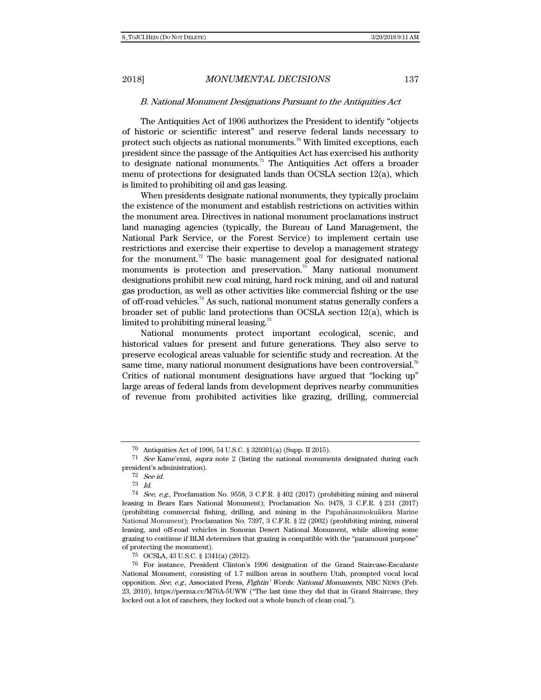#### B. National Monument Designations Pursuant to the Antiquities Act

The Antiquities Act of 1906 authorizes the President to identify "objects of historic or scientific interest" and reserve federal lands necessary to protect such objects as national monuments.<sup>70</sup> With limited exceptions, each president since the passage of the Antiquities Act has exercised his authority to designate national monuments.<sup>71</sup> The Antiquities Act offers a broader menu of protections for designated lands than OCSLA section 12(a), which is limited to prohibiting oil and gas leasing.

When presidents designate national monuments, they typically proclaim the existence of the monument and establish restrictions on activities within the monument area. Directives in national monument proclamations instruct land managing agencies (typically, the Bureau of Land Management, the National Park Service, or the Forest Service) to implement certain use restrictions and exercise their expertise to develop a management strategy for the monument.<sup>72</sup> The basic management goal for designated national monuments is protection and preservation.<sup>73</sup> Many national monument designations prohibit new coal mining, hard rock mining, and oil and natural gas production, as well as other activities like commercial fishing or the use of off-road vehicles.<sup>74</sup> As such, national monument status generally confers a broader set of public land protections than OCSLA section 12(a), which is limited to prohibiting mineral leasing.<sup>75</sup>

National monuments protect important ecological, scenic, and historical values for present and future generations. They also serve to preserve ecological areas valuable for scientific study and recreation. At the same time, many national monument designations have been controversial.<sup>76</sup> Critics of national monument designations have argued that "locking up" large areas of federal lands from development deprives nearby communities of revenue from prohibited activities like grazing, drilling, commercial

<sup>70</sup> Antiquities Act of 1906, 54 U.S.C. § 320301(a) (Supp. II 2015).

 $71$  See Kame'enui, supra note 2 (listing the national monuments designated during each president's administration).

<sup>72</sup> See id.

<sup>&</sup>lt;sup>73</sup> Id.<br><sup>74</sup> See, e.g., Proclamation No. 9558, 3 C.F.R. § 402 (2017) (prohibiting mining and mineral leasing in Bears Ears National Monument); Proclamation No. 9478, 3 C.F.R. § 231 (2017) (prohibiting commercial fishing, drilling, and mining in the Papahānaumokuākea Marine National Monument); Proclamation No. 7397, 3 C.F.R. § 22 (2002) (prohibiting mining, mineral leasing, and off-road vehicles in Sonoran Desert National Monument, while allowing some grazing to continue if BLM determines that grazing is compatible with the "paramount purpose" of protecting the monument).

<sup>75</sup> OCSLA, 43 U.S.C. § 1341(a) (2012).

<sup>76</sup> For instance, President Clinton's 1996 designation of the Grand Staircase-Escalante National Monument, consisting of 1.7 million areas in southern Utah, prompted vocal local opposition. See, e.g., Associated Press, Fightin' Words: National Monuments, NBC NEWS (Feb. 23, 2010), https://perma.cc/M76A-5UWW ("The last time they did that in Grand Staircase, they locked out a lot of ranchers, they locked out a whole bunch of clean coal.").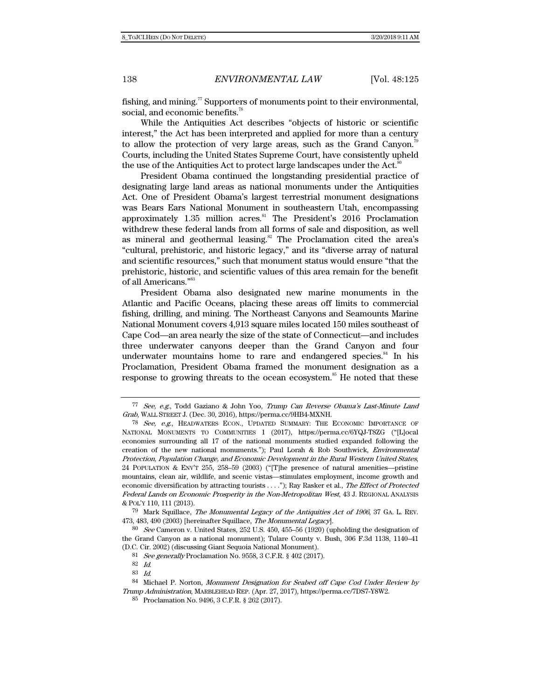fishing, and mining.<sup>77</sup> Supporters of monuments point to their environmental, social, and economic benefits. $78$ 

While the Antiquities Act describes "objects of historic or scientific interest," the Act has been interpreted and applied for more than a century to allow the protection of very large areas, such as the Grand Canyon.<sup>78</sup> Courts, including the United States Supreme Court, have consistently upheld the use of the Antiquities Act to protect large landscapes under the Act.<sup>80</sup>

President Obama continued the longstanding presidential practice of designating large land areas as national monuments under the Antiquities Act. One of President Obama's largest terrestrial monument designations was Bears Ears National Monument in southeastern Utah, encompassing approximately  $1.35$  million acres.<sup>81</sup> The President's  $2016$  Proclamation withdrew these federal lands from all forms of sale and disposition, as well as mineral and geothermal leasing.<sup>82</sup> The Proclamation cited the area's "cultural, prehistoric, and historic legacy," and its "diverse array of natural and scientific resources," such that monument status would ensure "that the prehistoric, historic, and scientific values of this area remain for the benefit of all Americans."<sup>83</sup>

President Obama also designated new marine monuments in the Atlantic and Pacific Oceans, placing these areas off limits to commercial fishing, drilling, and mining. The Northeast Canyons and Seamounts Marine National Monument covers 4,913 square miles located 150 miles southeast of Cape Cod—an area nearly the size of the state of Connecticut—and includes three underwater canyons deeper than the Grand Canyon and four underwater mountains home to rare and endangered species.<sup>84</sup> In his Proclamation, President Obama framed the monument designation as a response to growing threats to the ocean ecosystem.<sup>85</sup> He noted that these

<sup>77</sup> See, e.g., Todd Gaziano & John Yoo, Trump Can Reverse Obama's Last-Minute Land Grab, WALL STREET J. (Dec. 30, 2016), https://perma.cc/9HB4-MXNH.

 $78$  See, e.g., HEADWATERS ECON., UPDATED SUMMARY: THE ECONOMIC IMPORTANCE OF NATIONAL MONUMENTS TO COMMUNITIES 1 (2017), https://perma.cc/6YQJ-T8ZG ("[L]ocal economies surrounding all 17 of the national monuments studied expanded following the creation of the new national monuments."); Paul Lorah & Rob Southwick, Environmental Protection, Population Change, and Economic Development in the Rural Western United States, 24 POPULATION & ENV'T 255, 258–59 (2003) ("[T]he presence of natural amenities—pristine mountains, clean air, wildlife, and scenic vistas—stimulates employment, income growth and economic diversification by attracting tourists . . . ."); Ray Rasker et al., The Effect of Protected Federal Lands on Economic Prosperity in the Non-Metropolitan West, 43 J. REGIONAL ANALYSIS & POL'Y 110, 111 (2013).

 $79$  Mark Squillace, The Monumental Legacy of the Antiquities Act of 1906, 37 GA. L. REV. 473, 483, 490 (2003) [hereinafter Squillace, The Monumental Legacy].

 $80$  See Cameron v. United States, 252 U.S. 450, 455–56 (1920) (upholding the designation of the Grand Canyon as a national monument); Tulare County v. Bush, 306 F.3d 1138, 1140–41 (D.C. Cir. 2002) (discussing Giant Sequoia National Monument).

<sup>81</sup> See generally Proclamation No. 9558, 3 C.F.R. § 402 (2017).

<sup>82</sup> Id.

<sup>83</sup> Id.

<sup>84</sup> Michael P. Norton, Monument Designation for Seabed off Cape Cod Under Review by Trump Administration, MARBLEHEAD REP. (Apr. 27, 2017), https://perma.cc/7DS7-Y8W2.

<sup>85</sup> Proclamation No. 9496, 3 C.F.R. § 262 (2017).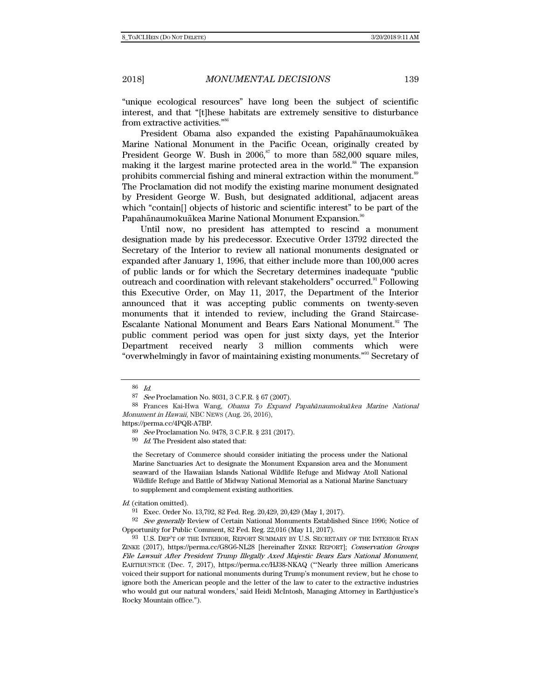"unique ecological resources" have long been the subject of scientific interest, and that "[t]hese habitats are extremely sensitive to disturbance from extractive activities."86

President Obama also expanded the existing Papahānaumokuākea Marine National Monument in the Pacific Ocean, originally created by President George W. Bush in  $2006$ ,  $87$  to more than 582,000 square miles, making it the largest marine protected area in the world.<sup>88</sup> The expansion prohibits commercial fishing and mineral extraction within the monument.<sup>89</sup> The Proclamation did not modify the existing marine monument designated by President George W. Bush, but designated additional, adjacent areas which "contain[] objects of historic and scientific interest" to be part of the Papahānaumokuākea Marine National Monument Expansion.<sup>90</sup>

Until now, no president has attempted to rescind a monument designation made by his predecessor. Executive Order 13792 directed the Secretary of the Interior to review all national monuments designated or expanded after January 1, 1996, that either include more than 100,000 acres of public lands or for which the Secretary determines inadequate "public outreach and coordination with relevant stakeholders" occurred.<sup>91</sup> Following this Executive Order, on May 11, 2017, the Department of the Interior announced that it was accepting public comments on twenty-seven monuments that it intended to review, including the Grand Staircase-Escalante National Monument and Bears Ears National Monument.<sup>92</sup> The public comment period was open for just sixty days, yet the Interior Department received nearly 3 million comments which were "overwhelmingly in favor of maintaining existing monuments."93 Secretary of

https://perma.cc/4PQR-A7BP.

the Secretary of Commerce should consider initiating the process under the National Marine Sanctuaries Act to designate the Monument Expansion area and the Monument seaward of the Hawaiian Islands National Wildlife Refuge and Midway Atoll National Wildlife Refuge and Battle of Midway National Memorial as a National Marine Sanctuary to supplement and complement existing authorities.

<sup>86</sup> Id.

<sup>87</sup> See Proclamation No. 8031, 3 C.F.R. § 67 (2007).

<sup>88</sup> Frances Kai-Hwa Wang, Obama To Expand Papah*ā*naumoku*ā*kea Marine National Monument in Hawaii, NBC NEWS (Aug. 26, 2016),

<sup>89</sup> See Proclamation No. 9478, 3 C.F.R. § 231 (2017).

 $90$  *Id.* The President also stated that:

Id. (citation omitted).

<sup>91</sup> Exec. Order No. 13,792, 82 Fed. Reg. 20,429, 20,429 (May 1, 2017).

<sup>92</sup> See generally Review of Certain National Monuments Established Since 1996; Notice of Opportunity for Public Comment, 82 Fed. Reg. 22,016 (May 11, 2017).

<sup>93</sup> U.S. DEP'T OF THE INTERIOR, REPORT SUMMARY BY U.S. SECRETARY OF THE INTERIOR RYAN ZINKE (2017), https://perma.cc/G8G6-NL28 [hereinafter ZINKE REPORT]; Conservation Groups File Lawsuit After President Trump Illegally Axed Majestic Bears Ears National Monument, EARTHJUSTICE (Dec. 7, 2017), https://perma.cc/HJ38-NKAQ ("'Nearly three million Americans voiced their support for national monuments during Trump's monument review, but he chose to ignore both the American people and the letter of the law to cater to the extractive industries who would gut our natural wonders,' said Heidi McIntosh, Managing Attorney in Earthjustice's Rocky Mountain office.").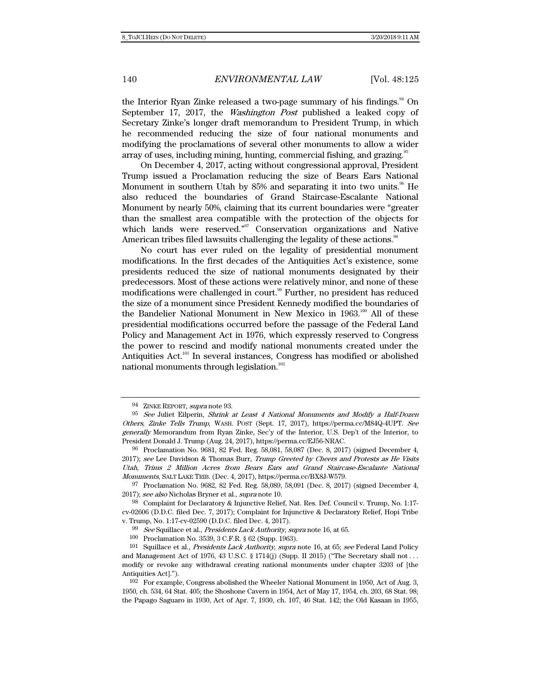the Interior Ryan Zinke released a two-page summary of his findings.<sup>94</sup> On September 17, 2017, the Washington Post published a leaked copy of Secretary Zinke's longer draft memorandum to President Trump, in which he recommended reducing the size of four national monuments and modifying the proclamations of several other monuments to allow a wider array of uses, including mining, hunting, commercial fishing, and grazing.<sup>95</sup>

On December 4, 2017, acting without congressional approval, President Trump issued a Proclamation reducing the size of Bears Ears National Monument in southern Utah by  $85%$  and separating it into two units.<sup>96</sup> He also reduced the boundaries of Grand Staircase-Escalante National Monument by nearly 50%, claiming that its current boundaries were "greater than the smallest area compatible with the protection of the objects for which lands were reserved."<sup>97</sup> Conservation organizations and Native American tribes filed lawsuits challenging the legality of these actions.<sup>98</sup>

No court has ever ruled on the legality of presidential monument modifications. In the first decades of the Antiquities Act's existence, some presidents reduced the size of national monuments designated by their predecessors. Most of these actions were relatively minor, and none of these modifications were challenged in court.<sup>99</sup> Further, no president has reduced the size of a monument since President Kennedy modified the boundaries of the Bandelier National Monument in New Mexico in 1963.<sup>100</sup> All of these presidential modifications occurred before the passage of the Federal Land Policy and Management Act in 1976, which expressly reserved to Congress the power to rescind and modify national monuments created under the Antiquities  $Act.^{101}$  In several instances, Congress has modified or abolished national monuments through legislation.<sup>102</sup>

97 Proclamation No. 9682, 82 Fed. Reg. 58,089, 58,091 (Dec. 8, 2017) (signed December 4, 2017); see also Nicholas Bryner et al., supra note 10.

98 Complaint for Declaratory & Injunctive Relief, Nat. Res. Def. Council v. Trump, No. 1:17 cv-02606 (D.D.C. filed Dec. 7, 2017); Complaint for Injunctive & Declaratory Relief, Hopi Tribe v. Trump, No. 1:17-cv-02590 (D.D.C. filed Dec. 4, 2017).

99 See Squillace et al., Presidents Lack Authority, supra note 16, at 65.

100 Proclamation No. 3539, 3 C.F.R. § 62 (Supp. 1963).

<sup>94</sup> ZINKE REPORT, supra note 93.

 $95$  See Juliet Eilperin, Shrink at Least 4 National Monuments and Modify a Half-Dozen Others, Zinke Tells Trump, WASH. POST (Sept. 17, 2017), https://perma.cc/M84Q-4UPT. See generally Memorandum from Ryan Zinke, Sec'y of the Interior, U.S. Dep't of the Interior, to President Donald J. Trump (Aug. 24, 2017), https://perma.cc/EJ56-NRAC.

<sup>96</sup> Proclamation No. 9681, 82 Fed. Reg. 58,081, 58,087 (Dec. 8, 2017) (signed December 4, 2017); see Lee Davidson & Thomas Burr, Trump Greeted by Cheers and Protests as He Visits Utah, Trims 2 Million Acres from Bears Ears and Grand Staircase-Escalante National Monuments, SALT LAKE TRIB. (Dec. 4, 2017), https://perma.cc/BX8J-W579.

<sup>&</sup>lt;sup>101</sup> Squillace et al., *Presidents Lack Authority, supra* note 16, at 65; see Federal Land Policy and Management Act of 1976, 43 U.S.C. § 1714(j) (Supp. II 2015) ("The Secretary shall not ... modify or revoke any withdrawal creating national monuments under chapter 3203 of [the Antiquities Act].").

<sup>102</sup> For example, Congress abolished the Wheeler National Monument in 1950, Act of Aug. 3, 1950, ch. 534, 64 Stat. 405; the Shoshone Cavern in 1954, Act of May 17, 1954, ch. 203, 68 Stat. 98; the Papago Saguaro in 1930, Act of Apr. 7, 1930, ch. 107, 46 Stat. 142; the Old Kasaan in 1955,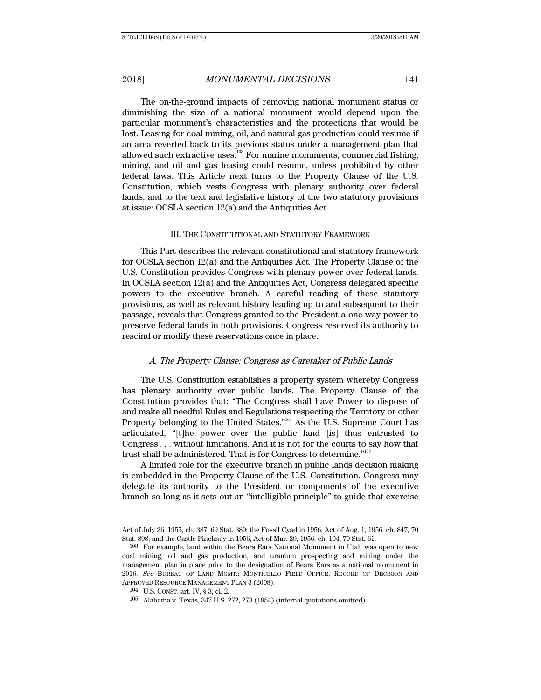The on-the-ground impacts of removing national monument status or diminishing the size of a national monument would depend upon the particular monument's characteristics and the protections that would be lost. Leasing for coal mining, oil, and natural gas production could resume if an area reverted back to its previous status under a management plan that allowed such extractive uses.<sup>103</sup> For marine monuments, commercial fishing, mining, and oil and gas leasing could resume, unless prohibited by other federal laws. This Article next turns to the Property Clause of the U.S. Constitution, which vests Congress with plenary authority over federal lands, and to the text and legislative history of the two statutory provisions at issue: OCSLA section 12(a) and the Antiquities Act.

#### III. THE CONSTITUTIONAL AND STATUTORY FRAMEWORK

This Part describes the relevant constitutional and statutory framework for OCSLA section 12(a) and the Antiquities Act. The Property Clause of the U.S. Constitution provides Congress with plenary power over federal lands. In OCSLA section 12(a) and the Antiquities Act, Congress delegated specific powers to the executive branch. A careful reading of these statutory provisions, as well as relevant history leading up to and subsequent to their passage, reveals that Congress granted to the President a one-way power to preserve federal lands in both provisions. Congress reserved its authority to rescind or modify these reservations once in place.

#### A. The Property Clause: Congress as Caretaker of Public Lands

The U.S. Constitution establishes a property system whereby Congress has plenary authority over public lands. The Property Clause of the Constitution provides that: "The Congress shall have Power to dispose of and make all needful Rules and Regulations respecting the Territory or other Property belonging to the United States."<sup>104</sup> As the U.S. Supreme Court has articulated, "[t]he power over the public land [is] thus entrusted to Congress . . . without limitations. And it is not for the courts to say how that trust shall be administered. That is for Congress to determine."105

A limited role for the executive branch in public lands decision making is embedded in the Property Clause of the U.S. Constitution. Congress may delegate its authority to the President or components of the executive branch so long as it sets out an "intelligible principle" to guide that exercise

Act of July 26, 1955, ch. 387, 69 Stat. 380; the Fossil Cyad in 1956, Act of Aug. 1, 1956, ch. 847, 70 Stat. 898; and the Castle Pinckney in 1956, Act of Mar. 29, 1956, ch. 104, 70 Stat. 61.

<sup>103</sup> For example, land within the Bears Ears National Monument in Utah was open to new coal mining, oil and gas production, and uranium prospecting and mining under the management plan in place prior to the designation of Bears Ears as a national monument in 2016. See BUREAU OF LAND MGMT.: MONTICELLO FIELD OFFICE, RECORD OF DECISION AND APPROVED RESOURCE MANAGEMENT PLAN 3 (2008).

<sup>104</sup> U.S. CONST. art. IV, § 3, cl. 2.

<sup>105</sup> Alabama v. Texas, 347 U.S. 272, 273 (1954) (internal quotations omitted).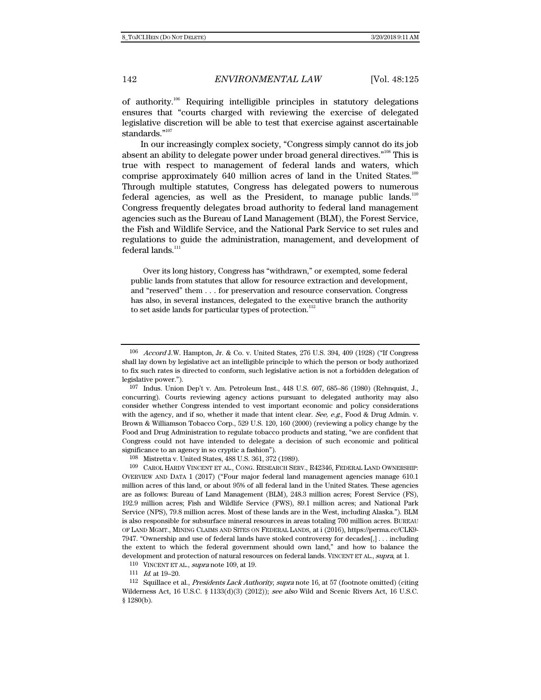of authority.<sup>106</sup> Requiring intelligible principles in statutory delegations ensures that "courts charged with reviewing the exercise of delegated legislative discretion will be able to test that exercise against ascertainable standards."<sup>107</sup>

In our increasingly complex society, "Congress simply cannot do its job absent an ability to delegate power under broad general directives."108 This is true with respect to management of federal lands and waters, which comprise approximately 640 million acres of land in the United States.<sup>109</sup> Through multiple statutes, Congress has delegated powers to numerous federal agencies, as well as the President, to manage public lands.<sup>110</sup> Congress frequently delegates broad authority to federal land management agencies such as the Bureau of Land Management (BLM), the Forest Service, the Fish and Wildlife Service, and the National Park Service to set rules and regulations to guide the administration, management, and development of federal lands. $^{\rm 111}$ 

Over its long history, Congress has "withdrawn," or exempted, some federal public lands from statutes that allow for resource extraction and development, and "reserved" them . . . for preservation and resource conservation. Congress has also, in several instances, delegated to the executive branch the authority to set aside lands for particular types of protection.<sup>112</sup>

<sup>106</sup> Accord J.W. Hampton, Jr. & Co. v. United States, 276 U.S. 394, 409 (1928) ("If Congress shall lay down by legislative act an intelligible principle to which the person or body authorized to fix such rates is directed to conform, such legislative action is not a forbidden delegation of legislative power.").

<sup>107</sup> Indus. Union Dep't v. Am. Petroleum Inst., 448 U.S. 607, 685–86 (1980) (Rehnquist, J., concurring). Courts reviewing agency actions pursuant to delegated authority may also consider whether Congress intended to vest important economic and policy considerations with the agency, and if so, whether it made that intent clear. See, e.g., Food & Drug Admin. v. Brown & Williamson Tobacco Corp., 529 U.S. 120, 160 (2000) (reviewing a policy change by the Food and Drug Administration to regulate tobacco products and stating, "we are confident that Congress could not have intended to delegate a decision of such economic and political significance to an agency in so cryptic a fashion").

<sup>108</sup> Mistretta v. United States, 488 U.S. 361, 372 (1989).

<sup>109</sup> CAROL HARDY VINCENT ET AL., CONG. RESEARCH SERV., R42346, FEDERAL LAND OWNERSHIP: OVERVIEW AND DATA 1 (2017) ("Four major federal land management agencies manage 610.1 million acres of this land, or about 95% of all federal land in the United States. These agencies are as follows: Bureau of Land Management (BLM), 248.3 million acres; Forest Service (FS), 192.9 million acres; Fish and Wildlife Service (FWS), 89.1 million acres; and National Park Service (NPS), 79.8 million acres. Most of these lands are in the West, including Alaska."). BLM is also responsible for subsurface mineral resources in areas totaling 700 million acres. BUREAU OF LAND MGMT., MINING CLAIMS AND SITES ON FEDERAL LANDS, at i (2016), https://perma.cc/CLK9- 7947. "Ownership and use of federal lands have stoked controversy for decades[,] . . . including the extent to which the federal government should own land," and how to balance the development and protection of natural resources on federal lands. VINCENT ET AL., supra, at 1.

<sup>110</sup> VINCENT ET AL., supra note 109, at 19.<br>111 Id. at 19–20.

<sup>112</sup> Squillace et al., Presidents Lack Authority, supra note 16, at 57 (footnote omitted) (citing Wilderness Act, 16 U.S.C. § 1133(d)(3) (2012)); see also Wild and Scenic Rivers Act, 16 U.S.C. § 1280(b).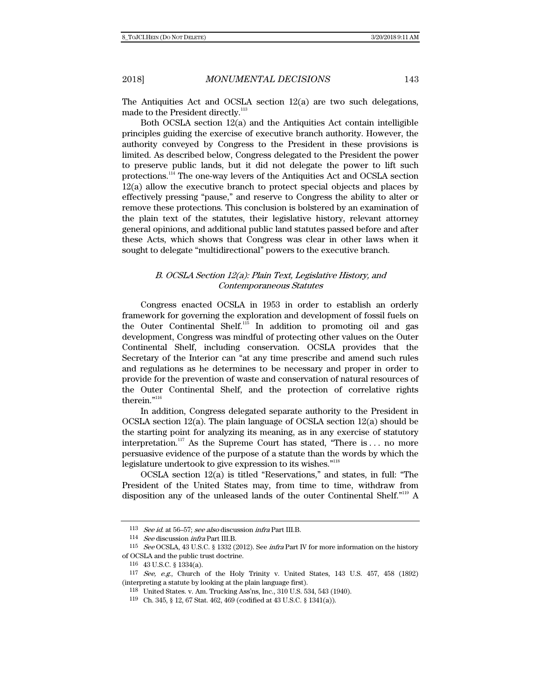The Antiquities Act and OCSLA section 12(a) are two such delegations, made to the President directly.<sup>113</sup>

 Both OCSLA section 12(a) and the Antiquities Act contain intelligible principles guiding the exercise of executive branch authority. However, the authority conveyed by Congress to the President in these provisions is limited. As described below, Congress delegated to the President the power to preserve public lands, but it did not delegate the power to lift such protections.114 The one-way levers of the Antiquities Act and OCSLA section 12(a) allow the executive branch to protect special objects and places by effectively pressing "pause," and reserve to Congress the ability to alter or remove these protections. This conclusion is bolstered by an examination of the plain text of the statutes, their legislative history, relevant attorney general opinions, and additional public land statutes passed before and after these Acts, which shows that Congress was clear in other laws when it sought to delegate "multidirectional" powers to the executive branch.

### B. OCSLA Section 12(a): Plain Text, Legislative History, and Contemporaneous Statutes

Congress enacted OCSLA in 1953 in order to establish an orderly framework for governing the exploration and development of fossil fuels on the Outer Continental Shelf.<sup>115</sup> In addition to promoting oil and gas development, Congress was mindful of protecting other values on the Outer Continental Shelf, including conservation. OCSLA provides that the Secretary of the Interior can "at any time prescribe and amend such rules and regulations as he determines to be necessary and proper in order to provide for the prevention of waste and conservation of natural resources of the Outer Continental Shelf, and the protection of correlative rights therein."<sup>116</sup>

In addition, Congress delegated separate authority to the President in OCSLA section 12(a). The plain language of OCSLA section 12(a) should be the starting point for analyzing its meaning, as in any exercise of statutory interpretation.<sup>117</sup> As the Supreme Court has stated, "There is ... no more persuasive evidence of the purpose of a statute than the words by which the legislature undertook to give expression to its wishes."118

OCSLA section 12(a) is titled "Reservations," and states, in full: "The President of the United States may, from time to time, withdraw from disposition any of the unleased lands of the outer Continental Shelf."119 A

<sup>113</sup> See id. at 56–57; see also discussion infra Part III.B.

<sup>114</sup> See discussion infra Part III.B.

<sup>115</sup> See OCSLA, 43 U.S.C. § 1332 (2012). See infra Part IV for more information on the history of OCSLA and the public trust doctrine.

<sup>116 43</sup> U.S.C. § 1334(a).

 $117$  See, e.g., Church of the Holy Trinity v. United States, 143 U.S. 457, 458 (1892) (interpreting a statute by looking at the plain language first).

<sup>118</sup> United States. v. Am. Trucking Ass'ns, Inc., 310 U.S. 534, 543 (1940).

<sup>119</sup> Ch. 345, § 12, 67 Stat. 462, 469 (codified at 43 U.S.C. § 1341(a)).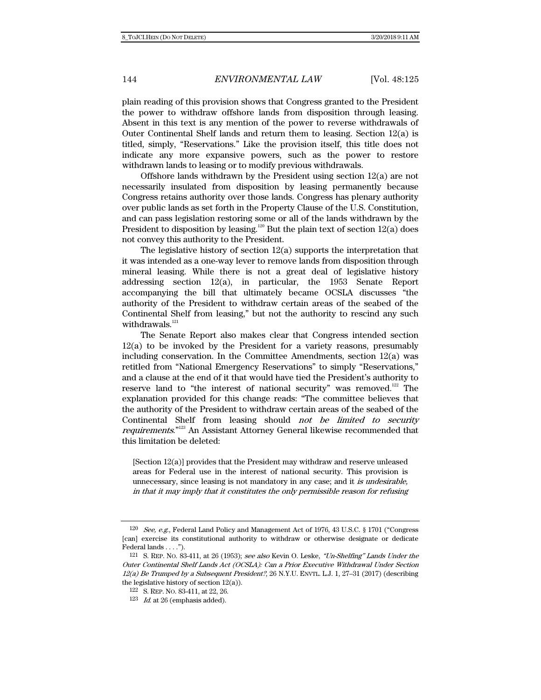plain reading of this provision shows that Congress granted to the President the power to withdraw offshore lands from disposition through leasing. Absent in this text is any mention of the power to reverse withdrawals of Outer Continental Shelf lands and return them to leasing. Section  $12(a)$  is titled, simply, "Reservations." Like the provision itself, this title does not indicate any more expansive powers, such as the power to restore withdrawn lands to leasing or to modify previous withdrawals.

Offshore lands withdrawn by the President using section 12(a) are not necessarily insulated from disposition by leasing permanently because Congress retains authority over those lands. Congress has plenary authority over public lands as set forth in the Property Clause of the U.S. Constitution, and can pass legislation restoring some or all of the lands withdrawn by the President to disposition by leasing.<sup>120</sup> But the plain text of section  $12(a)$  does not convey this authority to the President.

The legislative history of section 12(a) supports the interpretation that it was intended as a one-way lever to remove lands from disposition through mineral leasing. While there is not a great deal of legislative history addressing section 12(a), in particular, the 1953 Senate Report accompanying the bill that ultimately became OCSLA discusses "the authority of the President to withdraw certain areas of the seabed of the Continental Shelf from leasing," but not the authority to rescind any such withdrawals. $121$ 

The Senate Report also makes clear that Congress intended section 12(a) to be invoked by the President for a variety reasons, presumably including conservation. In the Committee Amendments, section  $12(a)$  was retitled from "National Emergency Reservations" to simply "Reservations," and a clause at the end of it that would have tied the President's authority to reserve land to "the interest of national security" was removed.<sup>122</sup> The explanation provided for this change reads: "The committee believes that the authority of the President to withdraw certain areas of the seabed of the Continental Shelf from leasing should not be limited to security requirements."<sup>123</sup> An Assistant Attorney General likewise recommended that this limitation be deleted:

[Section 12(a)] provides that the President may withdraw and reserve unleased areas for Federal use in the interest of national security. This provision is unnecessary, since leasing is not mandatory in any case; and it is undesirable, in that it may imply that it constitutes the only permissible reason for refusing

<sup>120</sup> See, e.g., Federal Land Policy and Management Act of 1976, 43 U.S.C. § 1701 ("Congress [can] exercise its constitutional authority to withdraw or otherwise designate or dedicate Federal lands . . . .").

<sup>121</sup> S. REP. NO. 83-411, at 26 (1953); see also Kevin O. Leske, "Un-Shelfing" Lands Under the Outer Continental Shelf Lands Act (OCSLA): Can a Prior Executive Withdrawal Under Section  $12(a)$  Be Trumped by a Subsequent President?, 26 N.Y.U. ENVTL. L.J. 1, 27–31 (2017) (describing the legislative history of section 12(a)).

<sup>122</sup> S. REP. NO. 83-411, at 22, 26.

 $123$  *Id.* at 26 (emphasis added).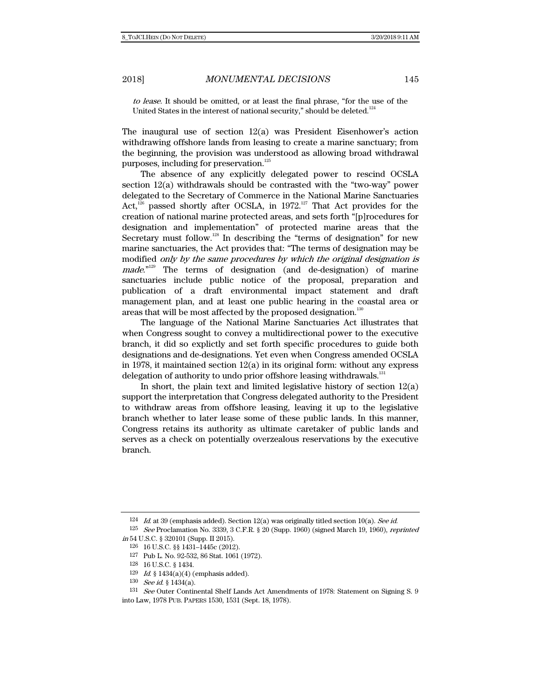to lease. It should be omitted, or at least the final phrase, "for the use of the United States in the interest of national security," should be deleted. $124$ 

The inaugural use of section 12(a) was President Eisenhower's action withdrawing offshore lands from leasing to create a marine sanctuary; from the beginning, the provision was understood as allowing broad withdrawal purposes, including for preservation.<sup>125</sup>

The absence of any explicitly delegated power to rescind OCSLA section 12(a) withdrawals should be contrasted with the "two-way" power delegated to the Secretary of Commerce in the National Marine Sanctuaries Act,<sup>126</sup> passed shortly after OCSLA, in 1972.<sup>127</sup> That Act provides for the creation of national marine protected areas, and sets forth "[p]rocedures for designation and implementation" of protected marine areas that the Secretary must follow.<sup>128</sup> In describing the "terms of designation" for new marine sanctuaries, the Act provides that: "The terms of designation may be modified only by the same procedures by which the original designation is  $made.^{"129}$  The terms of designation (and de-designation) of marine sanctuaries include public notice of the proposal, preparation and publication of a draft environmental impact statement and draft management plan, and at least one public hearing in the coastal area or areas that will be most affected by the proposed designation.<sup>130</sup>

The language of the National Marine Sanctuaries Act illustrates that when Congress sought to convey a multidirectional power to the executive branch, it did so explictly and set forth specific procedures to guide both designations and de-designations. Yet even when Congress amended OCSLA in 1978, it maintained section  $12(a)$  in its original form: without any express delegation of authority to undo prior offshore leasing withdrawals.<sup>131</sup>

In short, the plain text and limited legislative history of section  $12(a)$ support the interpretation that Congress delegated authority to the President to withdraw areas from offshore leasing, leaving it up to the legislative branch whether to later lease some of these public lands. In this manner, Congress retains its authority as ultimate caretaker of public lands and serves as a check on potentially overzealous reservations by the executive branch.

<sup>&</sup>lt;sup>124</sup> Id. at 39 (emphasis added). Section 12(a) was originally titled section 10(a). See id.

<sup>125</sup> See Proclamation No. 3339, 3 C.F.R. § 20 (Supp. 1960) (signed March 19, 1960), reprinted in 54 U.S.C. § 320101 (Supp. II 2015).

<sup>126 16</sup> U.S.C. §§ 1431–1445c (2012).

<sup>127</sup> Pub L. No. 92-532, 86 Stat. 1061 (1972).

<sup>128 16</sup> U.S.C. § 1434.

 $129$  *Id.* § 1434(a)(4) (emphasis added).

<sup>130</sup> See id. § 1434(a).

<sup>131</sup> See Outer Continental Shelf Lands Act Amendments of 1978: Statement on Signing S. 9 into Law, 1978 PUB. PAPERS 1530, 1531 (Sept. 18, 1978).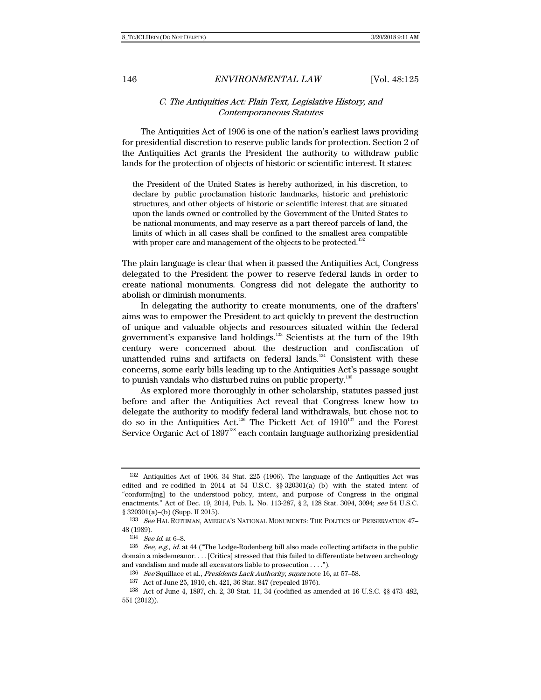### C. The Antiquities Act: Plain Text, Legislative History, and Contemporaneous Statutes

The Antiquities Act of 1906 is one of the nation's earliest laws providing for presidential discretion to reserve public lands for protection. Section 2 of the Antiquities Act grants the President the authority to withdraw public lands for the protection of objects of historic or scientific interest. It states:

the President of the United States is hereby authorized, in his discretion, to declare by public proclamation historic landmarks, historic and prehistoric structures, and other objects of historic or scientific interest that are situated upon the lands owned or controlled by the Government of the United States to be national monuments, and may reserve as a part thereof parcels of land, the limits of which in all cases shall be confined to the smallest area compatible with proper care and management of the objects to be protected.<sup>132</sup>

The plain language is clear that when it passed the Antiquities Act, Congress delegated to the President the power to reserve federal lands in order to create national monuments. Congress did not delegate the authority to abolish or diminish monuments.

In delegating the authority to create monuments, one of the drafters' aims was to empower the President to act quickly to prevent the destruction of unique and valuable objects and resources situated within the federal government's expansive land holdings.133 Scientists at the turn of the 19th century were concerned about the destruction and confiscation of unattended ruins and artifacts on federal lands.<sup>134</sup> Consistent with these concerns, some early bills leading up to the Antiquities Act's passage sought to punish vandals who disturbed ruins on public property.<sup>135</sup>

As explored more thoroughly in other scholarship, statutes passed just before and after the Antiquities Act reveal that Congress knew how to delegate the authority to modify federal land withdrawals, but chose not to do so in the Antiquities Act.<sup>136</sup> The Pickett Act of  $1910^{137}$  and the Forest Service Organic Act of  $1897^{138}$  each contain language authorizing presidential

 $136$  See Squillace et al., *Presidents Lack Authority, supra* note 16, at 57–58.

<sup>132</sup> Antiquities Act of 1906, 34 Stat. 225 (1906). The language of the Antiquities Act was edited and re-codified in 2014 at 54 U.S.C.  $\S$  320301(a)–(b) with the stated intent of "conform[ing] to the understood policy, intent, and purpose of Congress in the original enactments." Act of Dec. 19, 2014, Pub. L. No. 113-287, § 2, 128 Stat. 3094, 3094; see 54 U.S.C. § 320301(a)–(b) (Supp. II 2015).

<sup>&</sup>lt;sup>133</sup> See HAL ROTHMAN, AMERICA'S NATIONAL MONUMENTS: THE POLITICS OF PRESERVATION 47-48 (1989).

 $^{134}\;$  See id. at 6–8.

 $135$  See, e.g., id. at 44 ("The Lodge-Rodenberg bill also made collecting artifacts in the public domain a misdemeanor. . . . [Critics] stressed that this failed to differentiate between archeology and vandalism and made all excavators liable to prosecution . . . .").

<sup>137</sup> Act of June 25, 1910, ch. 421, 36 Stat. 847 (repealed 1976).

<sup>138</sup> Act of June 4, 1897, ch. 2, 30 Stat. 11, 34 (codified as amended at 16 U.S.C. §§ 473–482, 551 (2012)).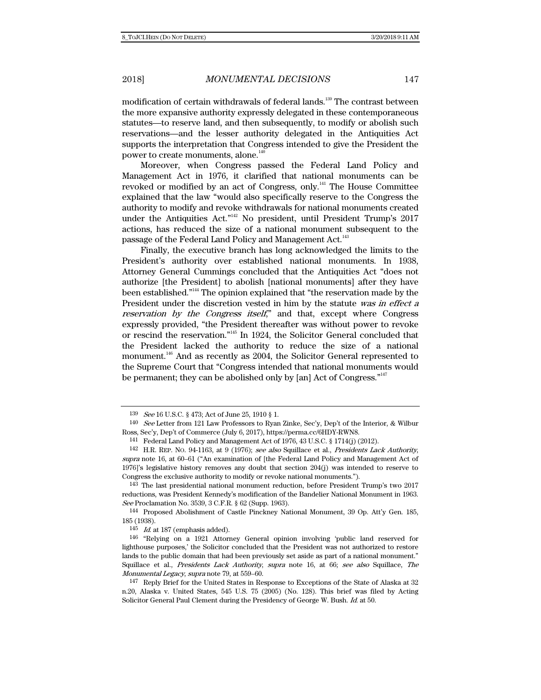modification of certain withdrawals of federal lands.<sup>139</sup> The contrast between the more expansive authority expressly delegated in these contemporaneous statutes—to reserve land, and then subsequently, to modify or abolish such reservations—and the lesser authority delegated in the Antiquities Act supports the interpretation that Congress intended to give the President the power to create monuments, alone.<sup>140</sup>

Moreover, when Congress passed the Federal Land Policy and Management Act in 1976, it clarified that national monuments can be revoked or modified by an act of Congress, only.141 The House Committee explained that the law "would also specifically reserve to the Congress the authority to modify and revoke withdrawals for national monuments created under the Antiquities Act."<sup>142</sup> No president, until President Trump's 2017 actions, has reduced the size of a national monument subsequent to the passage of the Federal Land Policy and Management Act.<sup>143</sup>

Finally, the executive branch has long acknowledged the limits to the President's authority over established national monuments. In 1938, Attorney General Cummings concluded that the Antiquities Act "does not authorize [the President] to abolish [national monuments] after they have been established."144 The opinion explained that "the reservation made by the President under the discretion vested in him by the statute was in effect a reservation by the Congress itself," and that, except where Congress expressly provided, "the President thereafter was without power to revoke or rescind the reservation."145 In 1924, the Solicitor General concluded that the President lacked the authority to reduce the size of a national monument.<sup>146</sup> And as recently as 2004, the Solicitor General represented to the Supreme Court that "Congress intended that national monuments would be permanent; they can be abolished only by [an] Act of Congress."<sup>147</sup>

<sup>139</sup> See 16 U.S.C. § 473; Act of June 25, 1910 § 1.

<sup>140</sup> See Letter from 121 Law Professors to Ryan Zinke, Sec'y, Dep't of the Interior, & Wilbur Ross, Sec'y, Dep't of Commerce (July 6, 2017), https://perma.cc/6HDY-RWN8.

<sup>141</sup> Federal Land Policy and Management Act of 1976, 43 U.S.C. § 1714(j) (2012).

<sup>142</sup> H.R. REP. NO. 94-1163, at 9 (1976); see also Squillace et al., Presidents Lack Authority, supra note 16, at 60–61 ("An examination of [the Federal Land Policy and Management Act of 1976]'s legislative history removes any doubt that section 204(j) was intended to reserve to Congress the exclusive authority to modify or revoke national monuments.").

<sup>143</sup> The last presidential national monument reduction, before President Trump's two 2017 reductions, was President Kennedy's modification of the Bandelier National Monument in 1963. See Proclamation No. 3539, 3 C.F.R. § 62 (Supp. 1963).

<sup>144</sup> Proposed Abolishment of Castle Pinckney National Monument, 39 Op. Att'y Gen. 185, 185 (1938).

 $145$  Id. at 187 (emphasis added).

<sup>146 &</sup>quot;Relying on a 1921 Attorney General opinion involving 'public land reserved for lighthouse purposes,' the Solicitor concluded that the President was not authorized to restore lands to the public domain that had been previously set aside as part of a national monument." Squillace et al., Presidents Lack Authority, supra note 16, at 66; see also Squillace, The Monumental Legacy, supra note 79, at 559–60.

<sup>147</sup> Reply Brief for the United States in Response to Exceptions of the State of Alaska at 32 n.20, Alaska v. United States, 545 U.S. 75 (2005) (No. 128). This brief was filed by Acting Solicitor General Paul Clement during the Presidency of George W. Bush. Id. at 50.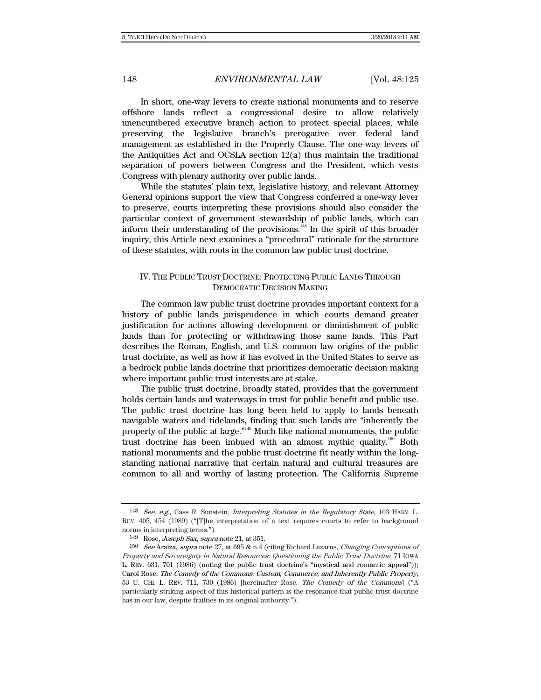In short, one-way levers to create national monuments and to reserve offshore lands reflect a congressional desire to allow relatively unencumbered executive branch action to protect special places, while preserving the legislative branch's prerogative over federal land management as established in the Property Clause. The one-way levers of the Antiquities Act and OCSLA section 12(a) thus maintain the traditional separation of powers between Congress and the President, which vests Congress with plenary authority over public lands.

While the statutes' plain text, legislative history, and relevant Attorney General opinions support the view that Congress conferred a one-way lever to preserve, courts interpreting these provisions should also consider the particular context of government stewardship of public lands, which can inform their understanding of the provisions.<sup>148</sup> In the spirit of this broader inquiry, this Article next examines a "procedural" rationale for the structure of these statutes, with roots in the common law public trust doctrine.

## IV. THE PUBLIC TRUST DOCTRINE: PROTECTING PUBLIC LANDS THROUGH DEMOCRATIC DECISION MAKING

The common law public trust doctrine provides important context for a history of public lands jurisprudence in which courts demand greater justification for actions allowing development or diminishment of public lands than for protecting or withdrawing those same lands. This Part describes the Roman, English, and U.S. common law origins of the public trust doctrine, as well as how it has evolved in the United States to serve as a bedrock public lands doctrine that prioritizes democratic decision making where important public trust interests are at stake.

The public trust doctrine, broadly stated, provides that the government holds certain lands and waterways in trust for public benefit and public use. The public trust doctrine has long been held to apply to lands beneath navigable waters and tidelands, finding that such lands are "inherently the property of the public at large."149 Much like national monuments, the public trust doctrine has been imbued with an almost mythic quality.<sup>150</sup> Both national monuments and the public trust doctrine fit neatly within the longstanding national narrative that certain natural and cultural treasures are common to all and worthy of lasting protection. The California Supreme

<sup>148</sup> See, e.g., Cass R. Sunstein, Interpreting Statutes in the Regulatory State, 103 HARV. L. REV. 405, 454 (1989) ("[T]he interpretation of a text requires courts to refer to background norms in interpreting terms.").

<sup>149</sup> Rose, Joseph Sax, supra note 21, at 351.

<sup>150</sup> See Araiza, supra note 27, at 695 & n.4 (citing Richard Lazarus, Changing Conceptions of Property and Sovereignty in Natural Resources: Questioning the Public Trust Doctrine, 71 IOWA L. REV. 631, 701 (1986) (noting the public trust doctrine's "mystical and romantic appeal")); Carol Rose, The Comedy of the Commons: Custom, Commerce, and Inherently Public Property, 53 U. CHI. L. REV. 711, 730 (1986) [hereinafter Rose, The Comedy of the Commons] ("A particularly striking aspect of this historical pattern is the resonance that public trust doctrine has in our law, despite frailties in its original authority.").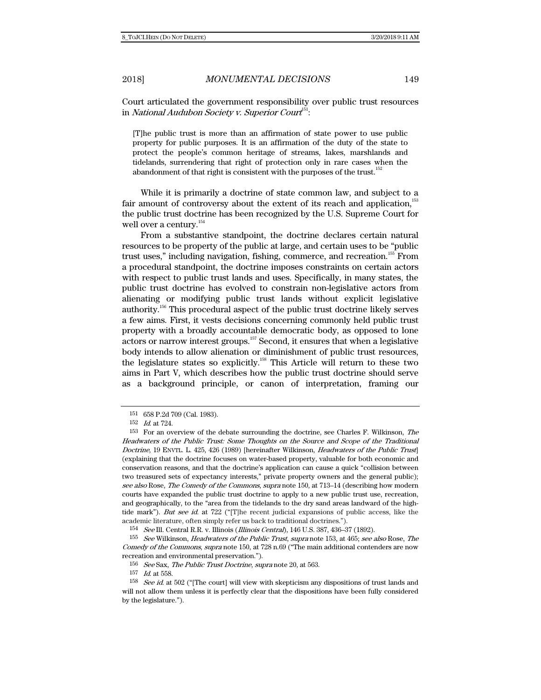Court articulated the government responsibility over public trust resources in *National Audubon Society v. Superior Court<sup>51</sup>:* 

[T]he public trust is more than an affirmation of state power to use public property for public purposes. It is an affirmation of the duty of the state to protect the people's common heritage of streams, lakes, marshlands and tidelands, surrendering that right of protection only in rare cases when the abandonment of that right is consistent with the purposes of the trust. $152$ 

While it is primarily a doctrine of state common law, and subject to a fair amount of controversy about the extent of its reach and application, $153$ the public trust doctrine has been recognized by the U.S. Supreme Court for well over a century.<sup>154</sup>

From a substantive standpoint, the doctrine declares certain natural resources to be property of the public at large, and certain uses to be "public trust uses," including navigation, fishing, commerce, and recreation.155 From a procedural standpoint, the doctrine imposes constraints on certain actors with respect to public trust lands and uses. Specifically, in many states, the public trust doctrine has evolved to constrain non-legislative actors from alienating or modifying public trust lands without explicit legislative authority.<sup>156</sup> This procedural aspect of the public trust doctrine likely serves a few aims. First, it vests decisions concerning commonly held public trust property with a broadly accountable democratic body, as opposed to lone actors or narrow interest groups.157 Second, it ensures that when a legislative body intends to allow alienation or diminishment of public trust resources, the legislature states so explicitly.158 This Article will return to these two aims in Part V, which describes how the public trust doctrine should serve as a background principle, or canon of interpretation, framing our

154 See Ill. Central R.R. v. Illinois (Illinois Central), 146 U.S. 387, 436–37 (1892).

155 See Wilkinson, Headwaters of the Public Trust, supra note 153, at 465; see also Rose, The Comedy of the Commons, supra note 150, at 728 n.69 ("The main additional contenders are now recreation and environmental preservation.").

<sup>151 658</sup> P.2d 709 (Cal. 1983).

<sup>152</sup> Id. at 724.

<sup>153</sup> For an overview of the debate surrounding the doctrine, see Charles F. Wilkinson, The Headwaters of the Public Trust: Some Thoughts on the Source and Scope of the Traditional Doctrine, 19 ENVTL. L. 425, 426 (1989) [hereinafter Wilkinson, *Headwaters of the Public Trust*] (explaining that the doctrine focuses on water-based property, valuable for both economic and conservation reasons, and that the doctrine's application can cause a quick "collision between two treasured sets of expectancy interests," private property owners and the general public); see also Rose, The Comedy of the Commons, supra note 150, at 713–14 (describing how modern courts have expanded the public trust doctrine to apply to a new public trust use, recreation, and geographically, to the "area from the tidelands to the dry sand areas landward of the hightide mark"). But see id. at 722 ("[T]he recent judicial expansions of public access, like the academic literature, often simply refer us back to traditional doctrines.").

<sup>156</sup> See Sax, The Public Trust Doctrine, supra note 20, at 563.

<sup>157</sup> Id. at 558.

 $158$  See id. at 502 ("[The court] will view with skepticism any dispositions of trust lands and will not allow them unless it is perfectly clear that the dispositions have been fully considered by the legislature.").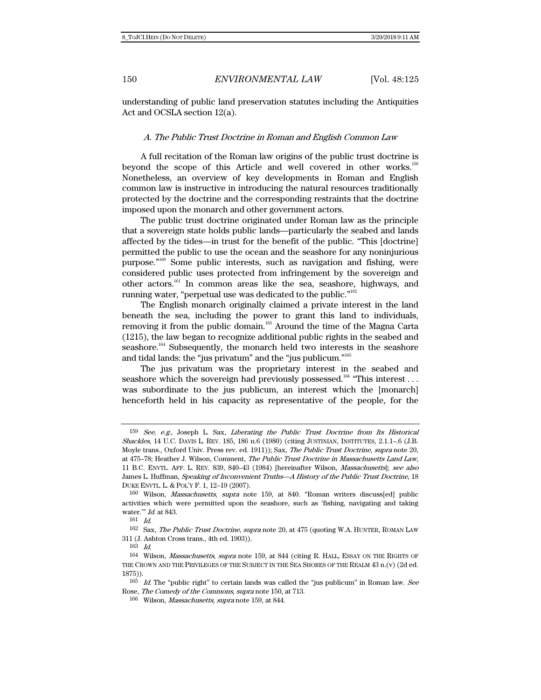understanding of public land preservation statutes including the Antiquities Act and OCSLA section 12(a).

### A. The Public Trust Doctrine in Roman and English Common Law

A full recitation of the Roman law origins of the public trust doctrine is beyond the scope of this Article and well covered in other works.<sup>159</sup> Nonetheless, an overview of key developments in Roman and English common law is instructive in introducing the natural resources traditionally protected by the doctrine and the corresponding restraints that the doctrine imposed upon the monarch and other government actors.

The public trust doctrine originated under Roman law as the principle that a sovereign state holds public lands—particularly the seabed and lands affected by the tides—in trust for the benefit of the public. "This [doctrine] permitted the public to use the ocean and the seashore for any noninjurious purpose."160 Some public interests, such as navigation and fishing, were considered public uses protected from infringement by the sovereign and other actors.161 In common areas like the sea, seashore, highways, and running water, "perpetual use was dedicated to the public."162

The English monarch originally claimed a private interest in the land beneath the sea, including the power to grant this land to individuals, removing it from the public domain.<sup>163</sup> Around the time of the Magna Carta (1215), the law began to recognize additional public rights in the seabed and seashore.<sup>164</sup> Subsequently, the monarch held two interests in the seashore and tidal lands: the "jus privatum" and the "jus publicum."165

The jus privatum was the proprietary interest in the seabed and seashore which the sovereign had previously possessed.<sup>166</sup> "This interest... was subordinate to the jus publicum, an interest which the [monarch] henceforth held in his capacity as representative of the people, for the

<sup>159</sup> See, e.g., Joseph L. Sax, Liberating the Public Trust Doctrine from Its Historical Shackles, 14 U.C. DAVIS L. REV. 185, 186 n.6 (1980) (citing JUSTINIAN, INSTITUTES, 2.1.1–.6 (J.B. Moyle trans., Oxford Univ. Press rev. ed. 1911)); Sax, The Public Trust Doctrine, supra note 20, at 475–78; Heather J. Wilson, Comment, The Public Trust Doctrine in Massachusetts Land Law, 11 B.C. ENVTL. AFF. L. REV. 839, 840–43 (1984) [hereinafter Wilson, Massachusetts]; see also James L. Huffman, Speaking of Inconvenient Truths—A History of the Public Trust Doctrine, 18 DUKE ENVTL. L. & POL'Y F. 1, 12–19 (2007).

<sup>160</sup> Wilson, Massachusetts, supra note 159, at 840. "Roman writers discuss[ed] public activities which were permitted upon the seashore, such as 'fishing, navigating and taking water.'" Id. at 843.

<sup>161</sup> Id.

<sup>162</sup> Sax, The Public Trust Doctrine, supra note 20, at 475 (quoting W.A. HUNTER, ROMAN LAW 311 (J. Ashton Cross trans., 4th ed. 1903)).

<sup>163</sup> Id.

<sup>164</sup> Wilson, Massachusetts, supra note 159, at 844 (citing R. HALL, ESSAY ON THE RIGHTS OF THE CROWN AND THE PRIVILEGES OF THE SUBJECT IN THE SEA SHORES OF THE REALM 43 n.(v) (2d ed. 1875)).

 $165$  *Id.* The "public right" to certain lands was called the "jus publicum" in Roman law. See Rose, The Comedy of the Commons, supra note 150, at 713.

<sup>&</sup>lt;sup>166</sup> Wilson, *Massachusetts, supra* note 159, at 844.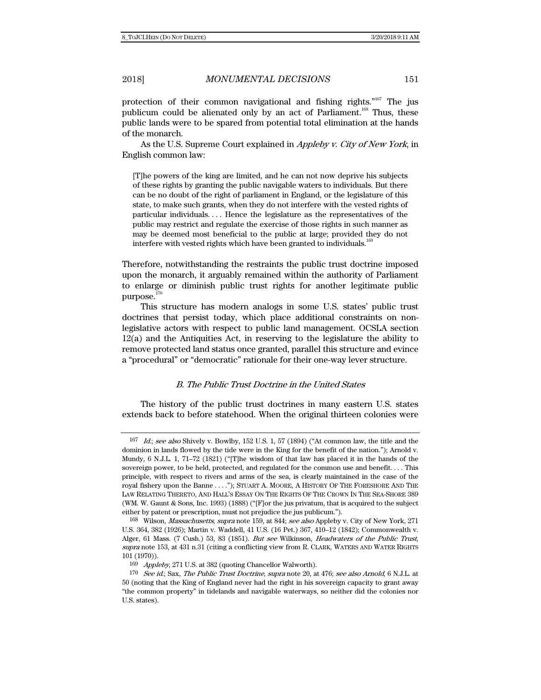protection of their common navigational and fishing rights."<sup>167</sup> The jus publicum could be alienated only by an act of Parliament.<sup>168</sup> Thus, these public lands were to be spared from potential total elimination at the hands of the monarch.

As the U.S. Supreme Court explained in Appleby v. City of New York, in English common law:

[T]he powers of the king are limited, and he can not now deprive his subjects of these rights by granting the public navigable waters to individuals. But there can be no doubt of the right of parliament in England, or the legislature of this state, to make such grants, when they do not interfere with the vested rights of particular individuals. . . . Hence the legislature as the representatives of the public may restrict and regulate the exercise of those rights in such manner as may be deemed most beneficial to the public at large; provided they do not interfere with vested rights which have been granted to individuals.<sup>169</sup>

Therefore, notwithstanding the restraints the public trust doctrine imposed upon the monarch, it arguably remained within the authority of Parliament to enlarge or diminish public trust rights for another legitimate public purpose. $170$ 

This structure has modern analogs in some U.S. states' public trust doctrines that persist today, which place additional constraints on nonlegislative actors with respect to public land management. OCSLA section 12(a) and the Antiquities Act, in reserving to the legislature the ability to remove protected land status once granted, parallel this structure and evince a "procedural" or "democratic" rationale for their one-way lever structure.

#### B. The Public Trust Doctrine in the United States

The history of the public trust doctrines in many eastern U.S. states extends back to before statehood. When the original thirteen colonies were

 $167$  *Id.; see also* Shively v. Bowlby, 152 U.S. 1, 57 (1894) ("At common law, the title and the dominion in lands flowed by the tide were in the King for the benefit of the nation."); Arnold v. Mundy, 6 N.J.L. 1, 71–72 (1821) ("[T]he wisdom of that law has placed it in the hands of the sovereign power, to be held, protected, and regulated for the common use and benefit. . . . This principle, with respect to rivers and arms of the sea, is clearly maintained in the case of the royal fishery upon the Banne . . . ."); STUART A. MOORE, A HISTORY OF THE FORESHORE AND THE LAW RELATING THERETO, AND HALL'S ESSAY ON THE RIGHTS OF THE CROWN IN THE SEA-SHORE 389 (WM. W. Gaunt & Sons, Inc. 1993) (1888) ("[F]or the jus privatum, that is acquired to the subject either by patent or prescription, must not prejudice the jus publicum.").

<sup>&</sup>lt;sup>168</sup> Wilson, *Massachusetts, supra* note 159, at 844; *see also* Appleby v. City of New York, 271 U.S. 364, 382 (1926); Martin v. Waddell, 41 U.S. (16 Pet.) 367, 410–12 (1842); Commonwealth v. Alger, 61 Mass. (7 Cush.) 53, 83 (1851). But see Wilkinson, Headwaters of the Public Trust, supra note 153, at 431 n.31 (citing a conflicting view from R. CLARK, WATERS AND WATER RIGHTS 101 (1970)).

<sup>169</sup> Appleby, 271 U.S. at 382 (quoting Chancellor Walworth).

<sup>&</sup>lt;sup>170</sup> See id.; Sax, The Public Trust Doctrine, supra note 20, at 476; see also Arnold, 6 N.J.L. at 50 (noting that the King of England never had the right in his sovereign capacity to grant away "the common property" in tidelands and navigable waterways, so neither did the colonies nor U.S. states).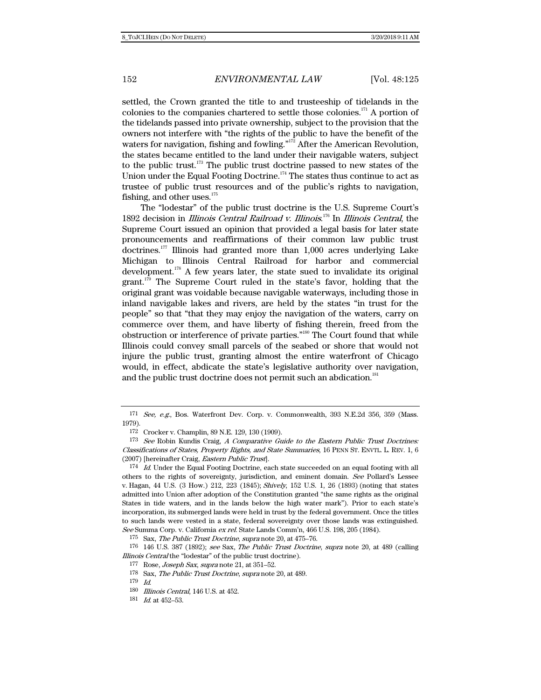settled, the Crown granted the title to and trusteeship of tidelands in the colonies to the companies chartered to settle those colonies.<sup>171</sup> A portion of the tidelands passed into private ownership, subject to the provision that the owners not interfere with "the rights of the public to have the benefit of the waters for navigation, fishing and fowling."<sup>172</sup> After the American Revolution, the states became entitled to the land under their navigable waters, subject to the public trust.<sup>173</sup> The public trust doctrine passed to new states of the Union under the Equal Footing Doctrine.<sup>174</sup> The states thus continue to act as trustee of public trust resources and of the public's rights to navigation, fishing, and other uses. $175$ 

The "lodestar" of the public trust doctrine is the U.S. Supreme Court's 1892 decision in *Illinois Central Railroad v. Illinois.<sup>176</sup>* In *Illinois Central*, the Supreme Court issued an opinion that provided a legal basis for later state pronouncements and reaffirmations of their common law public trust doctrines.177 Illinois had granted more than 1,000 acres underlying Lake Michigan to Illinois Central Railroad for harbor and commercial development.<sup>178</sup> A few years later, the state sued to invalidate its original grant. $179$  The Supreme Court ruled in the state's favor, holding that the original grant was voidable because navigable waterways, including those in inland navigable lakes and rivers, are held by the states "in trust for the people" so that "that they may enjoy the navigation of the waters, carry on commerce over them, and have liberty of fishing therein, freed from the obstruction or interference of private parties."180 The Court found that while Illinois could convey small parcels of the seabed or shore that would not injure the public trust, granting almost the entire waterfront of Chicago would, in effect, abdicate the state's legislative authority over navigation, and the public trust doctrine does not permit such an abdication.<sup>181</sup>

 $171$  See, e.g., Bos. Waterfront Dev. Corp. v. Commonwealth, 393 N.E.2d 356, 359 (Mass. 1979).

<sup>172</sup> Crocker v. Champlin, 89 N.E. 129, 130 (1909).

 $173$  See Robin Kundis Craig, A Comparative Guide to the Eastern Public Trust Doctrines: Classifications of States, Property Rights, and State Summaries, 16 PENN ST. ENVTL. L. REV. 1, 6 (2007) [hereinafter Craig, Eastern Public Trust].

<sup>&</sup>lt;sup>174</sup> Id. Under the Equal Footing Doctrine, each state succeeded on an equal footing with all others to the rights of sovereignty, jurisdiction, and eminent domain. See Pollard's Lessee v. Hagan, 44 U.S. (3 How.) 212, 223 (1845); Shively, 152 U.S. 1, 26 (1893) (noting that states admitted into Union after adoption of the Constitution granted "the same rights as the original States in tide waters, and in the lands below the high water mark"). Prior to each state's incorporation, its submerged lands were held in trust by the federal government. Once the titles to such lands were vested in a state, federal sovereignty over those lands was extinguished. See Summa Corp. v. California ex rel. State Lands Comm'n, 466 U.S. 198, 205 (1984).

<sup>175</sup> Sax, The Public Trust Doctrine, supra note 20, at 475–76.

 $176$  146 U.S. 387 (1892); see Sax, The Public Trust Doctrine, supra note 20, at 489 (calling Illinois Central the "lodestar" of the public trust doctrine).

<sup>177</sup> Rose, Joseph Sax, supra note 21, at 351–52.

<sup>178</sup> Sax, The Public Trust Doctrine, supra note 20, at 489.

<sup>179</sup> Id.

<sup>180</sup> Illinois Central, 146 U.S. at 452.

<sup>181</sup> Id. at 452–53.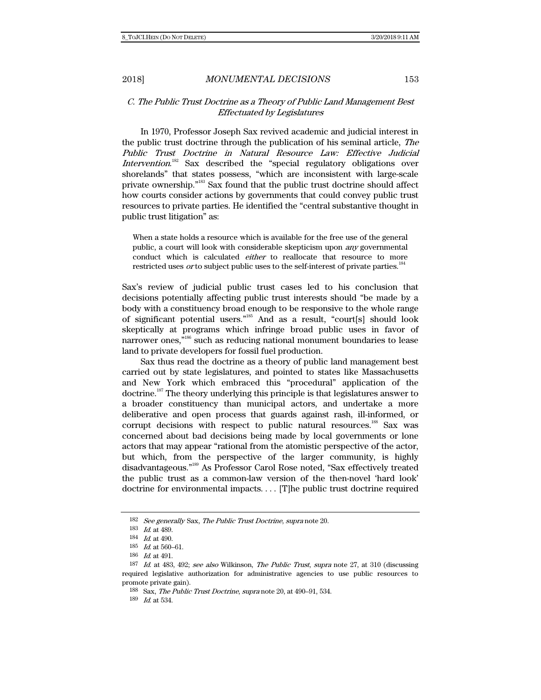### C. The Public Trust Doctrine as a Theory of Public Land Management Best Effectuated by Legislatures

In 1970, Professor Joseph Sax revived academic and judicial interest in the public trust doctrine through the publication of his seminal article, The Public Trust Doctrine in Natural Resource Law: Effective Judicial Intervention.<sup>182</sup> Sax described the "special regulatory obligations over shorelands" that states possess, "which are inconsistent with large-scale private ownership."183 Sax found that the public trust doctrine should affect how courts consider actions by governments that could convey public trust resources to private parties. He identified the "central substantive thought in public trust litigation" as:

When a state holds a resource which is available for the free use of the general public, a court will look with considerable skepticism upon any governmental conduct which is calculated *either* to reallocate that resource to more restricted uses *or* to subject public uses to the self-interest of private parties.<sup>184</sup>

Sax's review of judicial public trust cases led to his conclusion that decisions potentially affecting public trust interests should "be made by a body with a constituency broad enough to be responsive to the whole range of significant potential users."185 And as a result, "court[s] should look skeptically at programs which infringe broad public uses in favor of narrower ones,"<sup>186</sup> such as reducing national monument boundaries to lease land to private developers for fossil fuel production.

Sax thus read the doctrine as a theory of public land management best carried out by state legislatures, and pointed to states like Massachusetts and New York which embraced this "procedural" application of the doctrine.187 The theory underlying this principle is that legislatures answer to a broader constituency than municipal actors, and undertake a more deliberative and open process that guards against rash, ill-informed, or corrupt decisions with respect to public natural resources.<sup>188</sup> Sax was concerned about bad decisions being made by local governments or lone actors that may appear "rational from the atomistic perspective of the actor, but which, from the perspective of the larger community, is highly disadvantageous."189 As Professor Carol Rose noted, "Sax effectively treated the public trust as a common-law version of the then-novel 'hard look' doctrine for environmental impacts. . . . [T]he public trust doctrine required

189 Id. at 534.

<sup>182</sup> See generally Sax, The Public Trust Doctrine, supra note 20.

<sup>183</sup> Id. at 489.

<sup>184</sup> Id. at 490.

<sup>185</sup> Id. at 560–61.

<sup>186</sup> Id. at 491.

<sup>187</sup> Id. at 483, 492; see also Wilkinson, The Public Trust, supra note 27, at 310 (discussing required legislative authorization for administrative agencies to use public resources to promote private gain).

<sup>188</sup> Sax, The Public Trust Doctrine, supra note 20, at 490–91, 534.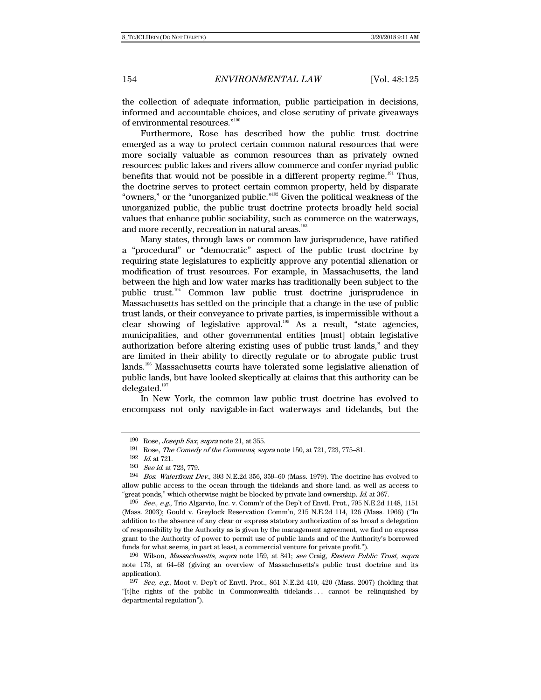the collection of adequate information, public participation in decisions, informed and accountable choices, and close scrutiny of private giveaways of environmental resources."190

Furthermore, Rose has described how the public trust doctrine emerged as a way to protect certain common natural resources that were more socially valuable as common resources than as privately owned resources: public lakes and rivers allow commerce and confer myriad public benefits that would not be possible in a different property regime.<sup>191</sup> Thus, the doctrine serves to protect certain common property, held by disparate "owners," or the "unorganized public."192 Given the political weakness of the unorganized public, the public trust doctrine protects broadly held social values that enhance public sociability, such as commerce on the waterways, and more recently, recreation in natural areas.<sup>193</sup>

Many states, through laws or common law jurisprudence, have ratified a "procedural" or "democratic" aspect of the public trust doctrine by requiring state legislatures to explicitly approve any potential alienation or modification of trust resources. For example, in Massachusetts, the land between the high and low water marks has traditionally been subject to the public trust.194 Common law public trust doctrine jurisprudence in Massachusetts has settled on the principle that a change in the use of public trust lands, or their conveyance to private parties, is impermissible without a clear showing of legislative approval.<sup>195</sup> As a result, "state agencies, municipalities, and other governmental entities [must] obtain legislative authorization before altering existing uses of public trust lands," and they are limited in their ability to directly regulate or to abrogate public trust lands.196 Massachusetts courts have tolerated some legislative alienation of public lands, but have looked skeptically at claims that this authority can be delegated.<sup>197</sup>

In New York, the common law public trust doctrine has evolved to encompass not only navigable-in-fact waterways and tidelands, but the

 $190 \; \text{Rose}$ , *Joseph Sax*, *supra* note 21, at 355.

<sup>191</sup> Rose, The Comedy of the Commons, supra note 150, at 721, 723, 775–81.

<sup>192</sup> Id. at 721.

<sup>193</sup> See id. at 723, 779.

<sup>194</sup> Bos. Waterfront Dev., 393 N.E.2d 356, 359–60 (Mass. 1979). The doctrine has evolved to allow public access to the ocean through the tidelands and shore land, as well as access to "great ponds," which otherwise might be blocked by private land ownership. Id. at 367.

<sup>195</sup> See., e.g., Trio Algarvio, Inc. v. Comm'r of the Dep't of Envtl. Prot., 795 N.E.2d 1148, 1151 (Mass. 2003); Gould v. Greylock Reservation Comm'n, 215 N.E.2d 114, 126 (Mass. 1966) ("In addition to the absence of any clear or express statutory authorization of as broad a delegation of responsibility by the Authority as is given by the management agreement, we find no express grant to the Authority of power to permit use of public lands and of the Authority's borrowed funds for what seems, in part at least, a commercial venture for private profit.").

<sup>196</sup> Wilson, Massachusetts, supra note 159, at 841; see Craig, Eastern Public Trust, supra note 173, at 64–68 (giving an overview of Massachusetts's public trust doctrine and its application).

 $197$  See, e.g., Moot v. Dep't of Envtl. Prot., 861 N.E.2d 410, 420 (Mass. 2007) (holding that "[t]he rights of the public in Commonwealth tidelands . . . cannot be relinquished by departmental regulation").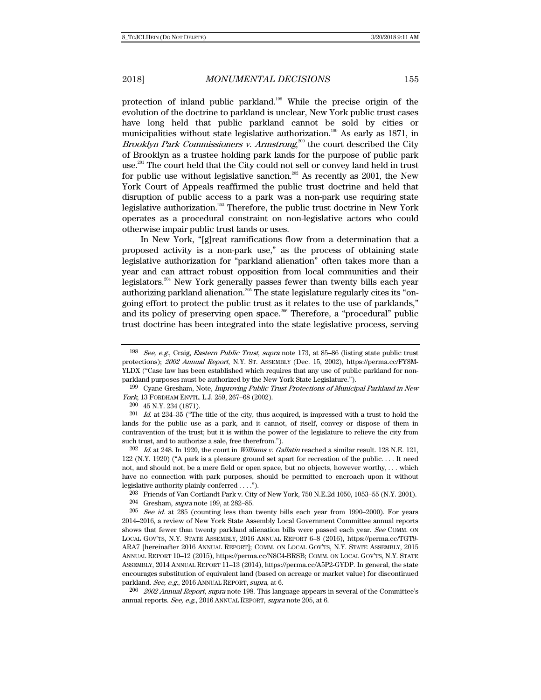protection of inland public parkland.198 While the precise origin of the evolution of the doctrine to parkland is unclear, New York public trust cases have long held that public parkland cannot be sold by cities or municipalities without state legislative authorization.199 As early as 1871, in *Brooklyn Park Commissioners v. Armstrong*,<sup>200</sup> the court described the City of Brooklyn as a trustee holding park lands for the purpose of public park use.<sup>201</sup> The court held that the City could not sell or convey land held in trust for public use without legislative sanction.<sup>202</sup> As recently as 2001, the New York Court of Appeals reaffirmed the public trust doctrine and held that disruption of public access to a park was a non-park use requiring state legislative authorization.<sup>203</sup> Therefore, the public trust doctrine in New York operates as a procedural constraint on non-legislative actors who could otherwise impair public trust lands or uses.

In New York, "[g]reat ramifications flow from a determination that a proposed activity is a non-park use," as the process of obtaining state legislative authorization for "parkland alienation" often takes more than a year and can attract robust opposition from local communities and their legislators.<sup>204</sup> New York generally passes fewer than twenty bills each year authorizing parkland alienation.<sup>205</sup> The state legislature regularly cites its "ongoing effort to protect the public trust as it relates to the use of parklands," and its policy of preserving open space.<sup>206</sup> Therefore, a "procedural" public trust doctrine has been integrated into the state legislative process, serving

199 Cyane Gresham, Note, Improving Public Trust Protections of Municipal Parkland in New York, 13 FORDHAM ENVTL. L.J. 259, 267–68 (2002).

200 45 N.Y. 234 (1871).

 $201$  *Id.* at 234–35 ("The title of the city, thus acquired, is impressed with a trust to hold the lands for the public use as a park, and it cannot, of itself, convey or dispose of them in contravention of the trust; but it is within the power of the legislature to relieve the city from such trust, and to authorize a sale, free therefrom.").

 $202$  *Id.* at 248. In 1920, the court in *Williams v. Gallatin* reached a similar result. 128 N.E. 121, 122 (N.Y. 1920) ("A park is a pleasure ground set apart for recreation of the public. . . . It need not, and should not, be a mere field or open space, but no objects, however worthy, . . . which have no connection with park purposes, should be permitted to encroach upon it without legislative authority plainly conferred . . . .").

 $203$  Friends of Van Cortlandt Park v. City of New York, 750 N.E.2d 1050, 1053–55 (N.Y. 2001).

204 Gresham, supra note 199, at 282–85.

 $205$  See id. at 285 (counting less than twenty bills each year from 1990–2000). For years 2014–2016, a review of New York State Assembly Local Government Committee annual reports shows that fewer than twenty parkland alienation bills were passed each year. See COMM. ON LOCAL GOV'TS, N.Y. STATE ASSEMBLY, 2016 ANNUAL REPORT 6–8 (2016), https://perma.cc/TGT9- ARA7 [hereinafter 2016 ANNUAL REPORT]; COMM. ON LOCAL GOV'TS, N.Y. STATE ASSEMBLY, 2015 ANNUAL REPORT 10–12 (2015), https://perma.cc/N8C4-BRSB; COMM. ON LOCAL GOV'TS, N.Y. STATE ASSEMBLY, 2014 ANNUAL REPORT 11–13 (2014), https://perma.cc/A5P2-GYDP. In general, the state encourages substitution of equivalent land (based on acreage or market value) for discontinued parkland. See, e.g., 2016 ANNUAL REPORT, supra, at 6.

<sup>206</sup> 2002 Annual Report, supra note 198. This language appears in several of the Committee's annual reports. See, e.g., 2016 ANNUAL REPORT, supra note 205, at 6.

<sup>198</sup> See, e.g., Craig, Eastern Public Trust, supra note 173, at 85–86 (listing state public trust protections); 2002 Annual Report, N.Y. ST. ASSEMBLY (Dec. 15, 2002), https://perma.cc/FY8M-YLDX ("Case law has been established which requires that any use of public parkland for nonparkland purposes must be authorized by the New York State Legislature.").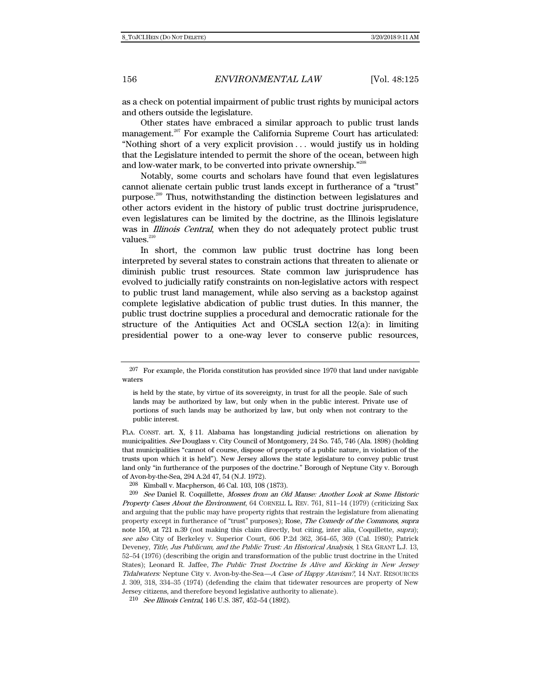as a check on potential impairment of public trust rights by municipal actors and others outside the legislature.

Other states have embraced a similar approach to public trust lands management.<sup>207</sup> For example the California Supreme Court has articulated: "Nothing short of a very explicit provision . . . would justify us in holding that the Legislature intended to permit the shore of the ocean, between high and low-water mark, to be converted into private ownership."208

Notably, some courts and scholars have found that even legislatures cannot alienate certain public trust lands except in furtherance of a "trust" purpose.<sup>209</sup> Thus, notwithstanding the distinction between legislatures and other actors evident in the history of public trust doctrine jurisprudence, even legislatures can be limited by the doctrine, as the Illinois legislature was in *Illinois Central*, when they do not adequately protect public trust values.<sup>210</sup>

In short, the common law public trust doctrine has long been interpreted by several states to constrain actions that threaten to alienate or diminish public trust resources. State common law jurisprudence has evolved to judicially ratify constraints on non-legislative actors with respect to public trust land management, while also serving as a backstop against complete legislative abdication of public trust duties. In this manner, the public trust doctrine supplies a procedural and democratic rationale for the structure of the Antiquities Act and OCSLA section 12(a): in limiting presidential power to a one-way lever to conserve public resources,

FLA. CONST. art. X, § 11. Alabama has longstanding judicial restrictions on alienation by municipalities. See Douglass v. City Council of Montgomery, 24 So. 745, 746 (Ala. 1898) (holding that municipalities "cannot of course, dispose of property of a public nature, in violation of the trusts upon which it is held"). New Jersey allows the state legislature to convey public trust land only "in furtherance of the purposes of the doctrine." Borough of Neptune City v. Borough of Avon-by-the-Sea, 294 A.2d 47, 54 (N.J. 1972).

208 Kimball v. Macpherson, 46 Cal. 103, 108 (1873).

209 See Daniel R. Coquillette, Mosses from an Old Manse: Another Look at Some Historic Property Cases About the Environment, 64 CORNELL L. REV. 761, 811-14 (1979) (criticizing Sax and arguing that the public may have property rights that restrain the legislature from alienating property except in furtherance of "trust" purposes); Rose, The Comedy of the Commons, supra note 150, at 721 n.39 (not making this claim directly, but citing, inter alia, Coquillette, supra); see also City of Berkeley v. Superior Court, 606 P.2d 362, 364–65, 369 (Cal. 1980); Patrick Deveney, Title, Jus Publicum, and the Public Trust: An Historical Analysis, 1 SEA GRANT L.J. 13, 52–54 (1976) (describing the origin and transformation of the public trust doctrine in the United States); Leonard R. Jaffee, The Public Trust Doctrine Is Alive and Kicking in New Jersey Tidalwaters: Neptune City v. Avon-by-the-Sea—A Case of Happy Atavism?, 14 NAT. RESOURCES J. 309, 318, 334–35 (1974) (defending the claim that tidewater resources are property of New Jersey citizens, and therefore beyond legislative authority to alienate).

210 See Illinois Central, 146 U.S. 387, 452–54 (1892).

<sup>207</sup> For example, the Florida constitution has provided since 1970 that land under navigable waters

is held by the state, by virtue of its sovereignty, in trust for all the people. Sale of such lands may be authorized by law, but only when in the public interest. Private use of portions of such lands may be authorized by law, but only when not contrary to the public interest.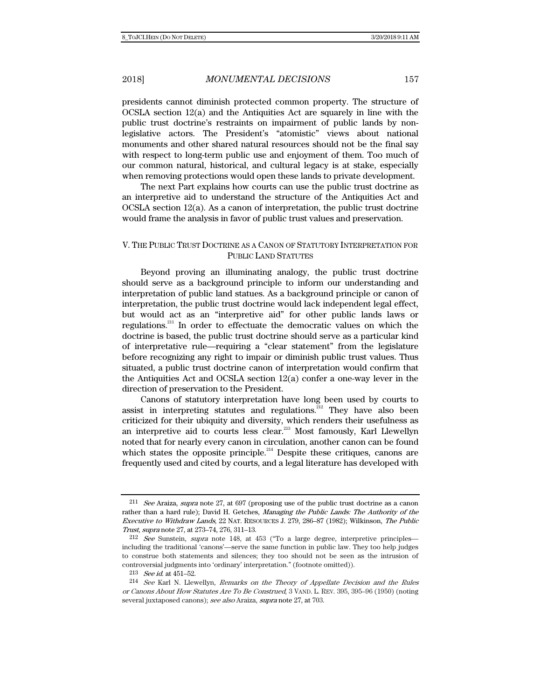presidents cannot diminish protected common property. The structure of OCSLA section 12(a) and the Antiquities Act are squarely in line with the public trust doctrine's restraints on impairment of public lands by nonlegislative actors. The President's "atomistic" views about national monuments and other shared natural resources should not be the final say with respect to long-term public use and enjoyment of them. Too much of our common natural, historical, and cultural legacy is at stake, especially when removing protections would open these lands to private development.

The next Part explains how courts can use the public trust doctrine as an interpretive aid to understand the structure of the Antiquities Act and OCSLA section 12(a). As a canon of interpretation, the public trust doctrine would frame the analysis in favor of public trust values and preservation.

### V. THE PUBLIC TRUST DOCTRINE AS A CANON OF STATUTORY INTERPRETATION FOR PUBLIC LAND STATUTES

Beyond proving an illuminating analogy, the public trust doctrine should serve as a background principle to inform our understanding and interpretation of public land statues. As a background principle or canon of interpretation, the public trust doctrine would lack independent legal effect, but would act as an "interpretive aid" for other public lands laws or regulations.211 In order to effectuate the democratic values on which the doctrine is based, the public trust doctrine should serve as a particular kind of interpretative rule—requiring a "clear statement" from the legislature before recognizing any right to impair or diminish public trust values. Thus situated, a public trust doctrine canon of interpretation would confirm that the Antiquities Act and OCSLA section 12(a) confer a one-way lever in the direction of preservation to the President.

Canons of statutory interpretation have long been used by courts to assist in interpreting statutes and regulations.<sup>212</sup> They have also been criticized for their ubiquity and diversity, which renders their usefulness as an interpretive aid to courts less clear.<sup>213</sup> Most famously, Karl Llewellyn noted that for nearly every canon in circulation, another canon can be found which states the opposite principle.<sup>214</sup> Despite these critiques, canons are frequently used and cited by courts, and a legal literature has developed with

<sup>&</sup>lt;sup>211</sup> See Araiza, supra note 27, at 697 (proposing use of the public trust doctrine as a canon rather than a hard rule); David H. Getches, Managing the Public Lands: The Authority of the Executive to Withdraw Lands, 22 NAT. RESOURCES J. 279, 286–87 (1982); Wilkinson, The Public Trust, supra note 27, at 273–74, 276, 311–13.

<sup>&</sup>lt;sup>212</sup> See Sunstein, supra note 148, at 453 ("To a large degree, interpretive principles including the traditional 'canons'—serve the same function in public law. They too help judges to construe both statements and silences; they too should not be seen as the intrusion of controversial judgments into 'ordinary' interpretation." (footnote omitted)).

 $213$  See id. at 451-52.

<sup>214</sup> See Karl N. Llewellyn, Remarks on the Theory of Appellate Decision and the Rules or Canons About How Statutes Are To Be Construed, 3 VAND. L. REV. 395, 395–96 (1950) (noting several juxtaposed canons); see also Araiza, supra note 27, at 703.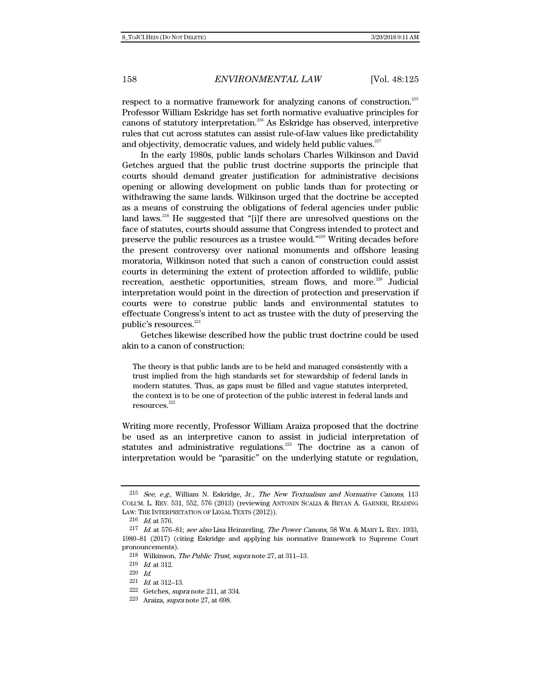respect to a normative framework for analyzing canons of construction.<sup>215</sup> Professor William Eskridge has set forth normative evaluative principles for canons of statutory interpretation.216 As Eskridge has observed, interpretive rules that cut across statutes can assist rule-of-law values like predictability and objectivity, democratic values, and widely held public values.<sup>217</sup>

In the early 1980s, public lands scholars Charles Wilkinson and David Getches argued that the public trust doctrine supports the principle that courts should demand greater justification for administrative decisions opening or allowing development on public lands than for protecting or withdrawing the same lands. Wilkinson urged that the doctrine be accepted as a means of construing the obligations of federal agencies under public land laws.<sup>218</sup> He suggested that "[i]f there are unresolved questions on the face of statutes, courts should assume that Congress intended to protect and preserve the public resources as a trustee would."<sup>219</sup> Writing decades before the present controversy over national monuments and offshore leasing moratoria, Wilkinson noted that such a canon of construction could assist courts in determining the extent of protection afforded to wildlife, public recreation, aesthetic opportunities, stream flows, and more.<sup>220</sup> Judicial interpretation would point in the direction of protection and preservation if courts were to construe public lands and environmental statutes to effectuate Congress's intent to act as trustee with the duty of preserving the public's resources. $^{221}$ 

Getches likewise described how the public trust doctrine could be used akin to a canon of construction:

The theory is that public lands are to be held and managed consistently with a trust implied from the high standards set for stewardship of federal lands in modern statutes. Thus, as gaps must be filled and vague statutes interpreted, the context is to be one of protection of the public interest in federal lands and resources.<sup>222</sup>

Writing more recently, Professor William Araiza proposed that the doctrine be used as an interpretive canon to assist in judicial interpretation of statutes and administrative regulations.<sup>223</sup> The doctrine as a canon of interpretation would be "parasitic" on the underlying statute or regulation,

 $215$  See, e.g., William N. Eskridge, Jr., The New Textualism and Normative Canons, 113 COLUM. L. REV. 531, 552, 576 (2013) (reviewing ANTONIN SCALIA & BRYAN A. GARNER, READING LAW: THE INTERPRETATION OF LEGAL TEXTS (2012)).

<sup>216</sup> Id. at 576.

<sup>&</sup>lt;sup>217</sup> Id. at 576-81; see also Lisa Heinzerling, The Power Canons, 58 WM. & MARY L. REV. 1933, 1980–81 (2017) (citing Eskridge and applying his normative framework to Supreme Court pronouncements).

<sup>218</sup> Wilkinson, The Public Trust, supra note 27, at 311–13.

 $^{219}\;$   $\emph{Id.}$  at 312.

<sup>220</sup> Id.

<sup>221</sup> Id. at 312–13.

<sup>222</sup> Getches, supra note 211, at 334.

 $223$  Araiza, *supra* note 27, at 698.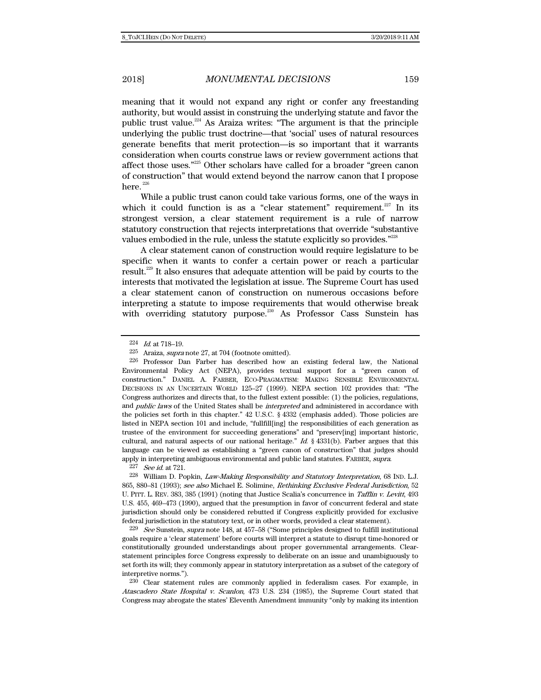meaning that it would not expand any right or confer any freestanding authority, but would assist in construing the underlying statute and favor the public trust value.<sup>224</sup> As Araiza writes: "The argument is that the principle underlying the public trust doctrine—that 'social' uses of natural resources generate benefits that merit protection—is so important that it warrants consideration when courts construe laws or review government actions that affect those uses."225 Other scholars have called for a broader "green canon of construction" that would extend beyond the narrow canon that I propose here. $226$ 

While a public trust canon could take various forms, one of the ways in which it could function is as a "clear statement" requirement.<sup>227</sup> In its strongest version, a clear statement requirement is a rule of narrow statutory construction that rejects interpretations that override "substantive values embodied in the rule, unless the statute explicitly so provides."<sup>228</sup>

A clear statement canon of construction would require legislature to be specific when it wants to confer a certain power or reach a particular result.229 It also ensures that adequate attention will be paid by courts to the interests that motivated the legislation at issue. The Supreme Court has used a clear statement canon of construction on numerous occasions before interpreting a statute to impose requirements that would otherwise break with overriding statutory purpose.<sup>230</sup> As Professor Cass Sunstein has

227 See id. at 721.

<sup>228</sup> William D. Popkin, *Law-Making Responsibility and Statutory Interpretation*, 68 IND. L.J. 865, 880-81 (1993); see also Michael E. Solimine, Rethinking Exclusive Federal Jurisdiction, 52 U. PITT. L. REV. 383, 385 (1991) (noting that Justice Scalia's concurrence in Tafflin v. Levitt, 493 U.S. 455, 469–473 (1990), argued that the presumption in favor of concurrent federal and state jurisdiction should only be considered rebutted if Congress explicitly provided for exclusive federal jurisdiction in the statutory text, or in other words, provided a clear statement).

 $229$  See Sunstein, supra note 148, at 457–58 ("Some principles designed to fulfill institutional goals require a 'clear statement' before courts will interpret a statute to disrupt time-honored or constitutionally grounded understandings about proper governmental arrangements. Clearstatement principles force Congress expressly to deliberate on an issue and unambiguously to set forth its will; they commonly appear in statutory interpretation as a subset of the category of interpretive norms.").

230 Clear statement rules are commonly applied in federalism cases. For example, in Atascadero State Hospital v. Scanlon, 473 U.S. 234 (1985), the Supreme Court stated that Congress may abrogate the states' Eleventh Amendment immunity "only by making its intention

<sup>224</sup> Id. at 718–19.

<sup>225</sup> Araiza, supra note 27, at 704 (footnote omitted).

<sup>226</sup> Professor Dan Farber has described how an existing federal law, the National Environmental Policy Act (NEPA), provides textual support for a "green canon of construction." DANIEL A. FARBER, ECO-PRAGMATISM: MAKING SENSIBLE ENVIRONMENTAL DECISIONS IN AN UNCERTAIN WORLD 125–27 (1999). NEPA section 102 provides that: "The Congress authorizes and directs that, to the fullest extent possible: (1) the policies, regulations, and *public laws* of the United States shall be *interpreted* and administered in accordance with the policies set forth in this chapter." 42 U.S.C. § 4332 (emphasis added). Those policies are listed in NEPA section 101 and include, "fullfill[ing] the responsibilities of each generation as trustee of the environment for succeeding generations" and "preserv[ing] important historic, cultural, and natural aspects of our national heritage." Id.  $\S$  4331(b). Farber argues that this language can be viewed as establishing a "green canon of construction" that judges should apply in interpreting ambiguous environmental and public land statutes. FARBER, supra.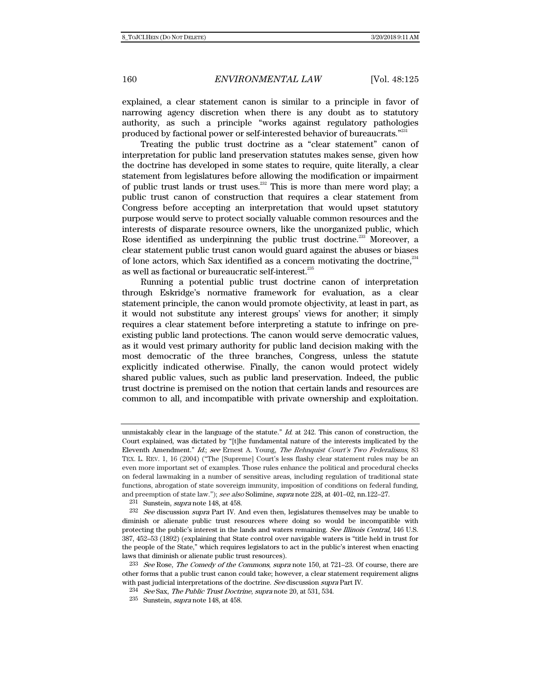explained, a clear statement canon is similar to a principle in favor of narrowing agency discretion when there is any doubt as to statutory authority, as such a principle "works against regulatory pathologies produced by factional power or self-interested behavior of bureaucrats."<sup>231</sup>

Treating the public trust doctrine as a "clear statement" canon of interpretation for public land preservation statutes makes sense, given how the doctrine has developed in some states to require, quite literally, a clear statement from legislatures before allowing the modification or impairment of public trust lands or trust uses.<sup>232</sup> This is more than mere word play; a public trust canon of construction that requires a clear statement from Congress before accepting an interpretation that would upset statutory purpose would serve to protect socially valuable common resources and the interests of disparate resource owners, like the unorganized public, which Rose identified as underpinning the public trust doctrine.<sup>233</sup> Moreover, a clear statement public trust canon would guard against the abuses or biases of lone actors, which Sax identified as a concern motivating the doctrine, $^{234}$ as well as factional or bureaucratic self-interest.235

Running a potential public trust doctrine canon of interpretation through Eskridge's normative framework for evaluation, as a clear statement principle, the canon would promote objectivity, at least in part, as it would not substitute any interest groups' views for another; it simply requires a clear statement before interpreting a statute to infringe on preexisting public land protections. The canon would serve democratic values, as it would vest primary authority for public land decision making with the most democratic of the three branches, Congress, unless the statute explicitly indicated otherwise. Finally, the canon would protect widely shared public values, such as public land preservation. Indeed, the public trust doctrine is premised on the notion that certain lands and resources are common to all, and incompatible with private ownership and exploitation.

231 Sunstein, supra note 148, at 458.

 $232$  See discussion supra Part IV. And even then, legislatures themselves may be unable to diminish or alienate public trust resources where doing so would be incompatible with protecting the public's interest in the lands and waters remaining. See Illinois Central, 146 U.S. 387, 452–53 (1892) (explaining that State control over navigable waters is "title held in trust for the people of the State," which requires legislators to act in the public's interest when enacting laws that diminish or alienate public trust resources).

 $233$  See Rose, The Comedy of the Commons, supra note 150, at 721–23. Of course, there are other forms that a public trust canon could take; however, a clear statement requirement aligns with past judicial interpretations of the doctrine. See discussion supra Part IV.

unmistakably clear in the language of the statute."  $Id$  at 242. This canon of construction, the Court explained, was dictated by "[t]he fundamental nature of the interests implicated by the Eleventh Amendment." Id.; see Ernest A. Young, The Rehnquist Court's Two Federalisms, 83 TEX. L. REV. 1, 16 (2004) ("The [Supreme] Court's less flashy clear statement rules may be an even more important set of examples. Those rules enhance the political and procedural checks on federal lawmaking in a number of sensitive areas, including regulation of traditional state functions, abrogation of state sovereign immunity, imposition of conditions on federal funding, and preemption of state law."); see also Solimine, supra note 228, at 401–02, nn.122–27.

<sup>234</sup> See Sax, The Public Trust Doctrine, supra note 20, at 531, 534.

 $235$  Sunstein, *supra* note 148, at 458.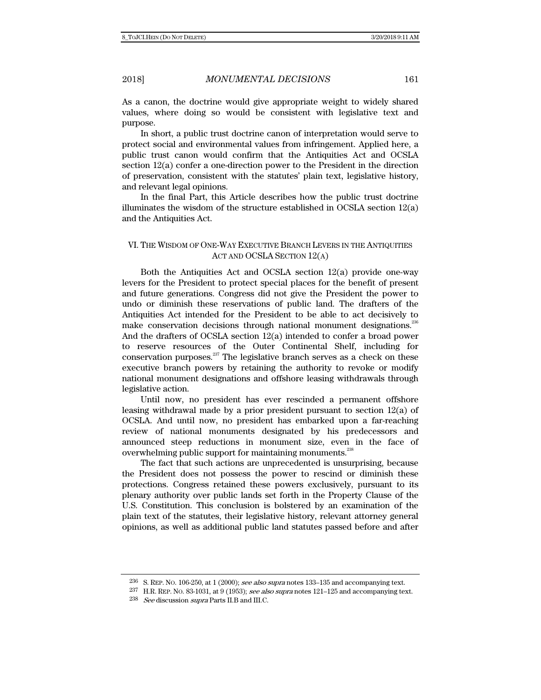As a canon, the doctrine would give appropriate weight to widely shared values, where doing so would be consistent with legislative text and purpose.

In short, a public trust doctrine canon of interpretation would serve to protect social and environmental values from infringement. Applied here, a public trust canon would confirm that the Antiquities Act and OCSLA section 12(a) confer a one-direction power to the President in the direction of preservation, consistent with the statutes' plain text, legislative history, and relevant legal opinions.

In the final Part, this Article describes how the public trust doctrine illuminates the wisdom of the structure established in OCSLA section  $12(a)$ and the Antiquities Act.

### VI. THE WISDOM OF ONE-WAY EXECUTIVE BRANCH LEVERS IN THE ANTIQUITIES ACT AND OCSLA SECTION 12(A)

Both the Antiquities Act and OCSLA section 12(a) provide one-way levers for the President to protect special places for the benefit of present and future generations. Congress did not give the President the power to undo or diminish these reservations of public land. The drafters of the Antiquities Act intended for the President to be able to act decisively to make conservation decisions through national monument designations.<sup>236</sup> And the drafters of OCSLA section 12(a) intended to confer a broad power to reserve resources of the Outer Continental Shelf, including for conservation purposes.<sup>237</sup> The legislative branch serves as a check on these executive branch powers by retaining the authority to revoke or modify national monument designations and offshore leasing withdrawals through legislative action.

Until now, no president has ever rescinded a permanent offshore leasing withdrawal made by a prior president pursuant to section  $12(a)$  of OCSLA. And until now, no president has embarked upon a far-reaching review of national monuments designated by his predecessors and announced steep reductions in monument size, even in the face of overwhelming public support for maintaining monuments.<sup>238</sup>

The fact that such actions are unprecedented is unsurprising, because the President does not possess the power to rescind or diminish these protections. Congress retained these powers exclusively, pursuant to its plenary authority over public lands set forth in the Property Clause of the U.S. Constitution. This conclusion is bolstered by an examination of the plain text of the statutes, their legislative history, relevant attorney general opinions, as well as additional public land statutes passed before and after

 $236$  S. REP. No. 106-250, at 1 (2000); see also supra notes 133-135 and accompanying text.

<sup>237</sup> H.R. REP. NO. 83-1031, at 9 (1953); see also supra notes 121–125 and accompanying text.

 $238$  See discussion supra Parts II.B and III.C.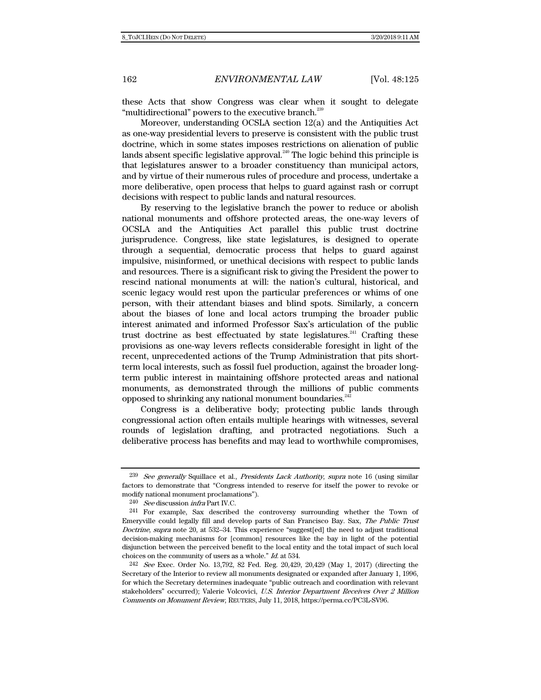these Acts that show Congress was clear when it sought to delegate "multidirectional" powers to the executive branch.<sup>239</sup>

Moreover, understanding OCSLA section 12(a) and the Antiquities Act as one-way presidential levers to preserve is consistent with the public trust doctrine, which in some states imposes restrictions on alienation of public lands absent specific legislative approval. $^{240}$  The logic behind this principle is that legislatures answer to a broader constituency than municipal actors, and by virtue of their numerous rules of procedure and process, undertake a more deliberative, open process that helps to guard against rash or corrupt decisions with respect to public lands and natural resources.

By reserving to the legislative branch the power to reduce or abolish national monuments and offshore protected areas, the one-way levers of OCSLA and the Antiquities Act parallel this public trust doctrine jurisprudence. Congress, like state legislatures, is designed to operate through a sequential, democratic process that helps to guard against impulsive, misinformed, or unethical decisions with respect to public lands and resources. There is a significant risk to giving the President the power to rescind national monuments at will: the nation's cultural, historical, and scenic legacy would rest upon the particular preferences or whims of one person, with their attendant biases and blind spots. Similarly, a concern about the biases of lone and local actors trumping the broader public interest animated and informed Professor Sax's articulation of the public trust doctrine as best effectuated by state legislatures.<sup>241</sup> Crafting these provisions as one-way levers reflects considerable foresight in light of the recent, unprecedented actions of the Trump Administration that pits shortterm local interests, such as fossil fuel production, against the broader longterm public interest in maintaining offshore protected areas and national monuments, as demonstrated through the millions of public comments opposed to shrinking any national monument boundaries.<sup>242</sup>

Congress is a deliberative body; protecting public lands through congressional action often entails multiple hearings with witnesses, several rounds of legislation drafting, and protracted negotiations. Such a deliberative process has benefits and may lead to worthwhile compromises,

<sup>&</sup>lt;sup>239</sup> See generally Squillace et al., Presidents Lack Authority, supra note 16 (using similar factors to demonstrate that "Congress intended to reserve for itself the power to revoke or modify national monument proclamations").

<sup>240</sup> See discussion infra Part IV.C.

<sup>241</sup> For example, Sax described the controversy surrounding whether the Town of Emeryville could legally fill and develop parts of San Francisco Bay. Sax, The Public Trust Doctrine, supra note 20, at 532–34. This experience "suggest[ed] the need to adjust traditional decision-making mechanisms for [common] resources like the bay in light of the potential disjunction between the perceived benefit to the local entity and the total impact of such local choices on the community of users as a whole." Id. at 534.

<sup>242</sup> See Exec. Order No. 13,792, 82 Fed. Reg. 20,429, 20,429 (May 1, 2017) (directing the Secretary of the Interior to review all monuments designated or expanded after January 1, 1996, for which the Secretary determines inadequate "public outreach and coordination with relevant stakeholders" occurred); Valerie Volcovici, U.S. Interior Department Receives Over 2 Million Comments on Monument Review, REUTERS, July 11, 2018, https://perma.cc/PC3L-SV96.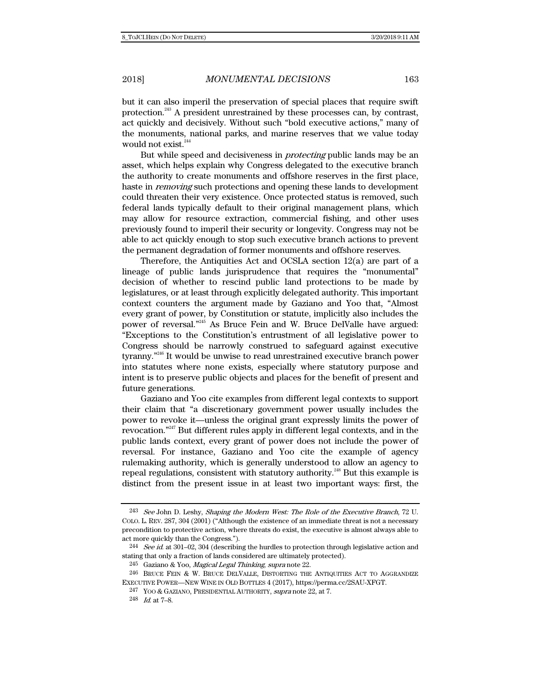but it can also imperil the preservation of special places that require swift protection.<sup>243</sup> A president unrestrained by these processes can, by contrast, act quickly and decisively. Without such "bold executive actions," many of the monuments, national parks, and marine reserves that we value today would not exist.<sup>244</sup>

But while speed and decisiveness in protecting public lands may be an asset, which helps explain why Congress delegated to the executive branch the authority to create monuments and offshore reserves in the first place, haste in *removing* such protections and opening these lands to development could threaten their very existence. Once protected status is removed, such federal lands typically default to their original management plans, which may allow for resource extraction, commercial fishing, and other uses previously found to imperil their security or longevity. Congress may not be able to act quickly enough to stop such executive branch actions to prevent the permanent degradation of former monuments and offshore reserves.

Therefore, the Antiquities Act and OCSLA section 12(a) are part of a lineage of public lands jurisprudence that requires the "monumental" decision of whether to rescind public land protections to be made by legislatures, or at least through explicitly delegated authority. This important context counters the argument made by Gaziano and Yoo that, "Almost every grant of power, by Constitution or statute, implicitly also includes the power of reversal."245 As Bruce Fein and W. Bruce DelValle have argued: "Exceptions to the Constitution's entrustment of all legislative power to Congress should be narrowly construed to safeguard against executive tyranny."<sup>246</sup> It would be unwise to read unrestrained executive branch power into statutes where none exists, especially where statutory purpose and intent is to preserve public objects and places for the benefit of present and future generations.

Gaziano and Yoo cite examples from different legal contexts to support their claim that "a discretionary government power usually includes the power to revoke it—unless the original grant expressly limits the power of revocation."247 But different rules apply in different legal contexts, and in the public lands context, every grant of power does not include the power of reversal. For instance, Gaziano and Yoo cite the example of agency rulemaking authority, which is generally understood to allow an agency to repeal regulations, consistent with statutory authority.<sup>248</sup> But this example is distinct from the present issue in at least two important ways: first, the

<sup>&</sup>lt;sup>243</sup> See John D. Leshy, Shaping the Modern West: The Role of the Executive Branch, 72 U. COLO. L. REV. 287, 304 (2001) ("Although the existence of an immediate threat is not a necessary precondition to protective action, where threats do exist, the executive is almost always able to act more quickly than the Congress.").

 $^{244}$  See id. at 301–02, 304 (describing the hurdles to protection through legislative action and stating that only a fraction of lands considered are ultimately protected).

<sup>&</sup>lt;sup>245</sup> Gaziano & Yoo, *Magical Legal Thinking, supra* note 22.

<sup>246</sup> BRUCE FEIN & W. BRUCE DELVALLE, DISTORTING THE ANTIQUITIES ACT TO AGGRANDIZE EXECUTIVE POWER—NEW WINE IN OLD BOTTLES 4 (2017), https://perma.cc/2SAU-XFGT.

<sup>&</sup>lt;sup>247</sup> YOO & GAZIANO, PRESIDENTIAL AUTHORITY, *supra* note 22, at 7.

<sup>248</sup> Id. at 7–8.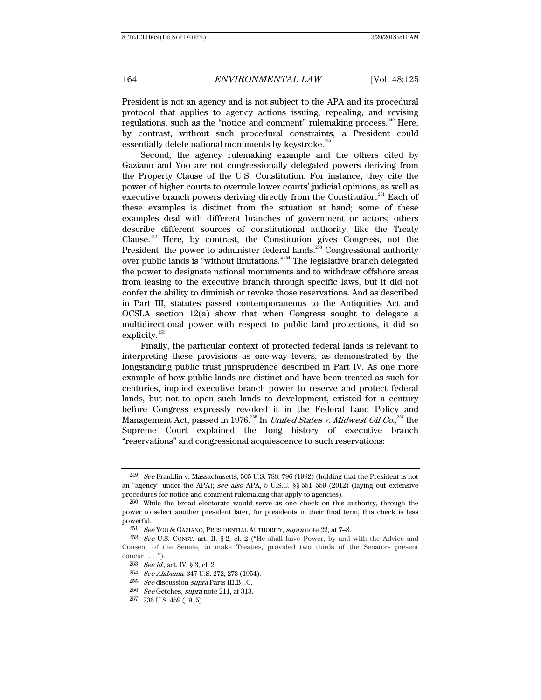President is not an agency and is not subject to the APA and its procedural protocol that applies to agency actions issuing, repealing, and revising regulations, such as the "notice and comment" rulemaking process.<sup>249</sup> Here, by contrast, without such procedural constraints, a President could essentially delete national monuments by keystroke.<sup>250</sup>

Second, the agency rulemaking example and the others cited by Gaziano and Yoo are not congressionally delegated powers deriving from the Property Clause of the U.S. Constitution. For instance, they cite the power of higher courts to overrule lower courts' judicial opinions, as well as executive branch powers deriving directly from the Constitution.<sup>251</sup> Each of these examples is distinct from the situation at hand; some of these examples deal with different branches of government or actors; others describe different sources of constitutional authority, like the Treaty Clause.<sup>252</sup> Here, by contrast, the Constitution gives Congress, not the President, the power to administer federal lands.<sup>253</sup> Congressional authority over public lands is "without limitations."254 The legislative branch delegated the power to designate national monuments and to withdraw offshore areas from leasing to the executive branch through specific laws, but it did not confer the ability to diminish or revoke those reservations. And as described in Part III, statutes passed contemporaneous to the Antiquities Act and OCSLA section 12(a) show that when Congress sought to delegate a multidirectional power with respect to public land protections, it did so explicity.<sup>255</sup>

Finally, the particular context of protected federal lands is relevant to interpreting these provisions as one-way levers, as demonstrated by the longstanding public trust jurisprudence described in Part IV. As one more example of how public lands are distinct and have been treated as such for centuries, implied executive branch power to reserve and protect federal lands, but not to open such lands to development, existed for a century before Congress expressly revoked it in the Federal Land Policy and Management Act, passed in 1976.<sup>256</sup> In *United States v. Midwest Oil Co.,*<sup>257</sup> the Supreme Court explained the long history of executive branch "reservations" and congressional acquiescence to such reservations:

 $249$  See Franklin v. Massachusetts, 505 U.S. 788, 796 (1992) (holding that the President is not an "agency" under the APA); see also APA, 5 U.S.C. §§ 551–559 (2012) (laying out extensive procedures for notice and comment rulemaking that apply to agencies).

<sup>250</sup> While the broad electorate would serve as one check on this authority, through the power to select another president later, for presidents in their final term, this check is less powerful.

<sup>251</sup> See YOO & GAZIANO, PRESIDENTIAL AUTHORITY, supra note 22, at 7–8.

<sup>252</sup> See U.S. CONST. art. II, § 2, cl. 2 ("He shall have Power, by and with the Advice and Consent of the Senate, to make Treaties, provided two thirds of the Senators present concur  $\dots$ .").

<sup>253</sup> See id., art. IV, § 3, cl. 2.

<sup>254</sup> See Alabama, 347 U.S. 272, 273 (1954).

<sup>255</sup> See discussion supra Parts III.B–.C.

<sup>256</sup> See Getches, supra note 211, at 313.

<sup>257 236</sup> U.S. 459 (1915).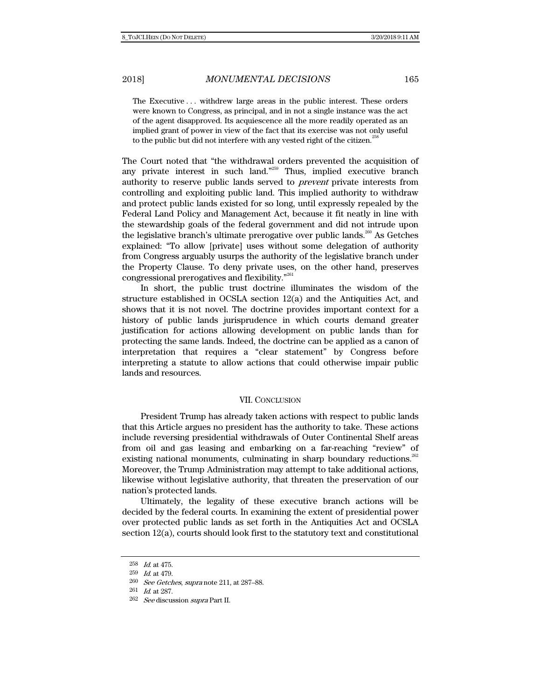The Executive . . . withdrew large areas in the public interest. These orders were known to Congress, as principal, and in not a single instance was the act of the agent disapproved. Its acquiescence all the more readily operated as an implied grant of power in view of the fact that its exercise was not only useful to the public but did not interfere with any vested right of the citizen.<sup>258</sup>

The Court noted that "the withdrawal orders prevented the acquisition of any private interest in such land."<sup> $259$ </sup> Thus, implied executive branch authority to reserve public lands served to prevent private interests from controlling and exploiting public land. This implied authority to withdraw and protect public lands existed for so long, until expressly repealed by the Federal Land Policy and Management Act, because it fit neatly in line with the stewardship goals of the federal government and did not intrude upon the legislative branch's ultimate prerogative over public lands.<sup>260</sup> As Getches explained: "To allow [private] uses without some delegation of authority from Congress arguably usurps the authority of the legislative branch under the Property Clause. To deny private uses, on the other hand, preserves congressional prerogatives and flexibility."261

In short, the public trust doctrine illuminates the wisdom of the structure established in OCSLA section 12(a) and the Antiquities Act, and shows that it is not novel. The doctrine provides important context for a history of public lands jurisprudence in which courts demand greater justification for actions allowing development on public lands than for protecting the same lands. Indeed, the doctrine can be applied as a canon of interpretation that requires a "clear statement" by Congress before interpreting a statute to allow actions that could otherwise impair public lands and resources.

#### VII. CONCLUSION

President Trump has already taken actions with respect to public lands that this Article argues no president has the authority to take. These actions include reversing presidential withdrawals of Outer Continental Shelf areas from oil and gas leasing and embarking on a far-reaching "review" of existing national monuments, culminating in sharp boundary reductions.<sup>262</sup> Moreover, the Trump Administration may attempt to take additional actions, likewise without legislative authority, that threaten the preservation of our nation's protected lands.

Ultimately, the legality of these executive branch actions will be decided by the federal courts. In examining the extent of presidential power over protected public lands as set forth in the Antiquities Act and OCSLA section 12(a), courts should look first to the statutory text and constitutional

<sup>258</sup> Id. at 475.

<sup>259</sup> Id. at 479.

<sup>260</sup> See Getches, supra note 211, at 287–88.

<sup>261</sup> Id. at 287.

<sup>262</sup> See discussion supra Part II.